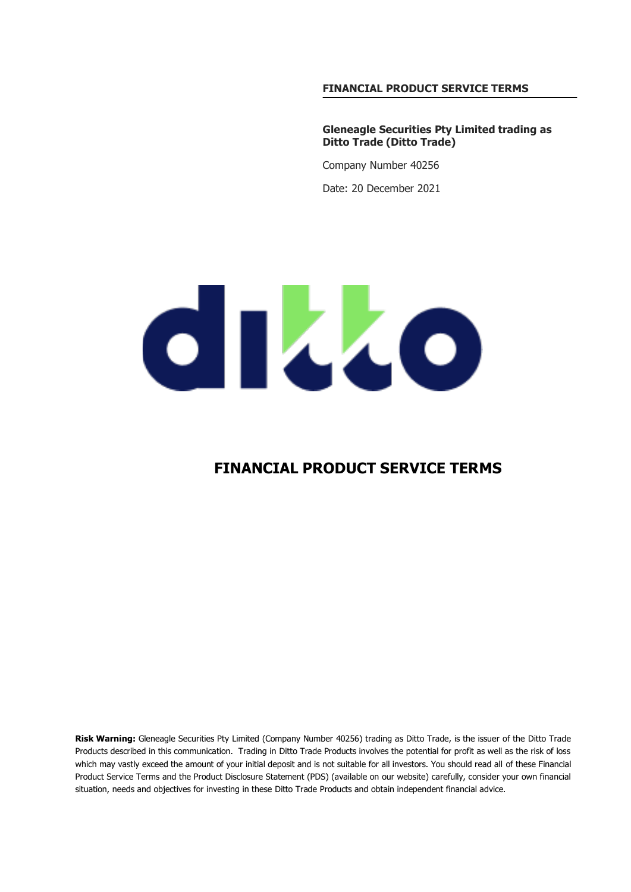#### **FINANCIAL PRODUCT SERVICE TERMS**

**Gleneagle Securities Pty Limited trading as Ditto Trade (Ditto Trade)**

Company Number 40256 Date: 20 December 2021

# dikko

### **FINANCIAL PRODUCT SERVICE TERMS**

**Risk Warning:** Gleneagle Securities Pty Limited (Company Number 40256) trading as Ditto Trade, is the issuer of the Ditto Trade Products described in this communication. Trading in Ditto Trade Products involves the potential for profit as well as the risk of loss which may vastly exceed the amount of your initial deposit and is not suitable for all investors. You should read all of these Financial Product Service Terms and the Product Disclosure Statement (PDS) (available on our website) carefully, consider your own financial situation, needs and objectives for investing in these Ditto Trade Products and obtain independent financial advice.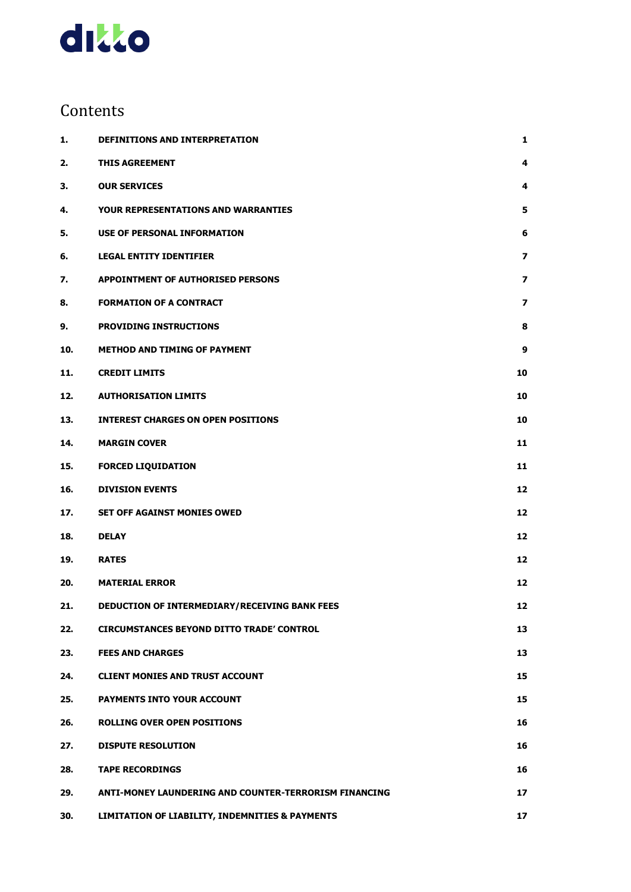

## Contents

| 1.  | <b>DEFINITIONS AND INTERPRETATION</b>                 | 1                        |
|-----|-------------------------------------------------------|--------------------------|
| 2.  | <b>THIS AGREEMENT</b>                                 | 4                        |
| 3.  | <b>OUR SERVICES</b>                                   | 4                        |
| 4.  | <b>YOUR REPRESENTATIONS AND WARRANTIES</b>            | 5                        |
| 5.  | USE OF PERSONAL INFORMATION                           | 6                        |
| 6.  | <b>LEGAL ENTITY IDENTIFIER</b>                        | $\overline{\phantom{a}}$ |
| 7.  | <b>APPOINTMENT OF AUTHORISED PERSONS</b>              | $\overline{\phantom{a}}$ |
| 8.  | <b>FORMATION OF A CONTRACT</b>                        | 7                        |
| 9.  | <b>PROVIDING INSTRUCTIONS</b>                         | 8                        |
| 10. | <b>METHOD AND TIMING OF PAYMENT</b>                   | 9                        |
| 11. | <b>CREDIT LIMITS</b>                                  | 10                       |
| 12. | <b>AUTHORISATION LIMITS</b>                           | 10                       |
| 13. | <b>INTEREST CHARGES ON OPEN POSITIONS</b>             | 10                       |
| 14. | <b>MARGIN COVER</b>                                   | 11                       |
| 15. | <b>FORCED LIQUIDATION</b>                             | 11                       |
| 16. | <b>DIVISION EVENTS</b>                                | 12                       |
| 17. | <b>SET OFF AGAINST MONIES OWED</b>                    | 12                       |
| 18. | <b>DELAY</b>                                          | 12                       |
| 19. | <b>RATES</b>                                          | 12                       |
| 20. | <b>MATERIAL ERROR</b>                                 | 12                       |
| 21. | DEDUCTION OF INTERMEDIARY/RECEIVING BANK FEES         | 12                       |
| 22. | <b>CIRCUMSTANCES BEYOND DITTO TRADE' CONTROL</b>      | 13                       |
| 23. | <b>FEES AND CHARGES</b>                               | 13                       |
| 24. | <b>CLIENT MONIES AND TRUST ACCOUNT</b>                | 15                       |
| 25. | PAYMENTS INTO YOUR ACCOUNT                            | 15                       |
| 26. | <b>ROLLING OVER OPEN POSITIONS</b>                    | 16                       |
| 27. | <b>DISPUTE RESOLUTION</b>                             | 16                       |
| 28. | <b>TAPE RECORDINGS</b>                                | 16                       |
| 29. | ANTI-MONEY LAUNDERING AND COUNTER-TERRORISM FINANCING | 17                       |
| 30. | LIMITATION OF LIABILITY, INDEMNITIES & PAYMENTS       | 17                       |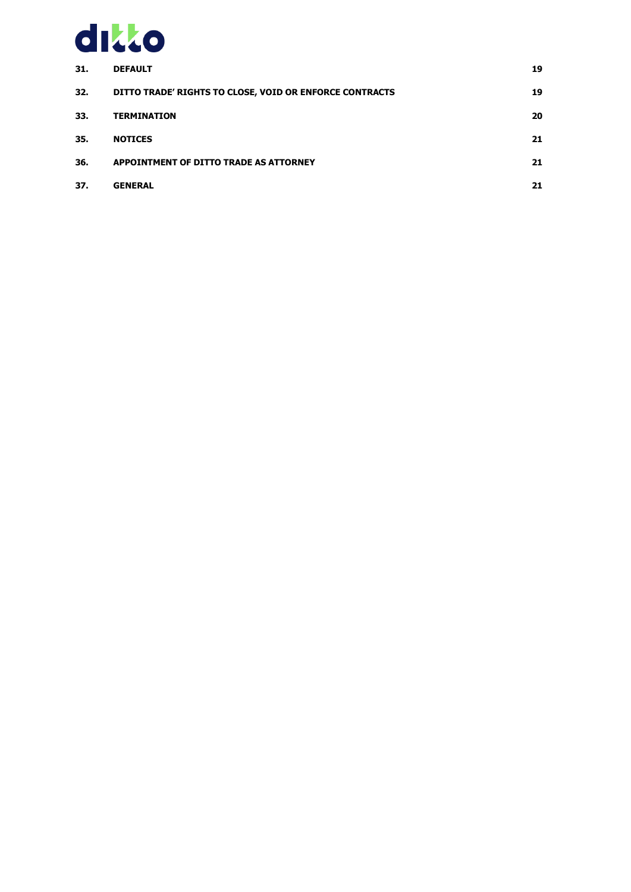

| 31. | <b>DEFAULT</b>                                          | 19 |
|-----|---------------------------------------------------------|----|
| 32. | DITTO TRADE' RIGHTS TO CLOSE, VOID OR ENFORCE CONTRACTS | 19 |
| 33. | <b>TERMINATION</b>                                      | 20 |
| 35. | <b>NOTICES</b>                                          | 21 |
| 36. | APPOINTMENT OF DITTO TRADE AS ATTORNEY                  | 21 |
| 37. | <b>GENERAL</b>                                          | 21 |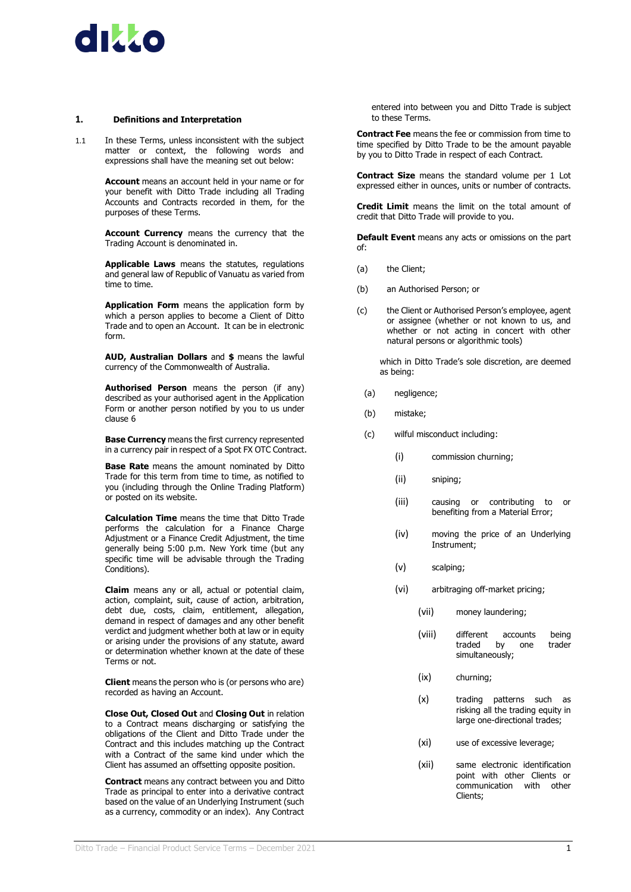

#### <span id="page-4-0"></span>**1. Definitions and Interpretation**

1.1 In these Terms, unless inconsistent with the subject matter or context, the following words and expressions shall have the meaning set out below:

> **Account** means an account held in your name or for your benefit with Ditto Trade including all Trading Accounts and Contracts recorded in them, for the purposes of these Terms.

> **Account Currency** means the currency that the Trading Account is denominated in.

> **Applicable Laws** means the statutes, regulations and general law of Republic of Vanuatu as varied from time to time.

> **Application Form** means the application form by which a person applies to become a Client of Ditto Trade and to open an Account. It can be in electronic form.

> **AUD, Australian Dollars** and **\$** means the lawful currency of the Commonwealth of Australia.

> **Authorised Person** means the person (if any) described as your authorised agent in the Application Form or another person notified by you to us under clause [6](#page-10-0)

> **Base Currency** means the first currency represented in a currency pair in respect of a Spot FX OTC Contract.

> **Base Rate** means the amount nominated by Ditto Trade for this term from time to time, as notified to you (including through the Online Trading Platform) or posted on its website.

> **Calculation Time** means the time that Ditto Trade performs the calculation for a Finance Charge Adjustment or a Finance Credit Adjustment, the time generally being 5:00 p.m. New York time (but any specific time will be advisable through the Trading Conditions).

> **Claim** means any or all, actual or potential claim, action, complaint, suit, cause of action, arbitration, debt due, costs, claim, entitlement, allegation, demand in respect of damages and any other benefit verdict and judgment whether both at law or in equity or arising under the provisions of any statute, award or determination whether known at the date of these Terms or not.

> **Client** means the person who is (or persons who are) recorded as having an Account.

> **Close Out, Closed Out** and **Closing Out** in relation to a Contract means discharging or satisfying the obligations of the Client and Ditto Trade under the Contract and this includes matching up the Contract with a Contract of the same kind under which the Client has assumed an offsetting opposite position.

> **Contract** means any contract between you and Ditto Trade as principal to enter into a derivative contract based on the value of an Underlying Instrument (such as a currency, commodity or an index). Any Contract

entered into between you and Ditto Trade is subject to these Terms.

**Contract Fee** means the fee or commission from time to time specified by Ditto Trade to be the amount payable by you to Ditto Trade in respect of each Contract.

**Contract Size** means the standard volume per 1 Lot expressed either in ounces, units or number of contracts.

**Credit Limit** means the limit on the total amount of credit that Ditto Trade will provide to you.

**Default Event** means any acts or omissions on the part of:

- (a) the Client;
- (b) an Authorised Person; or
- (c) the Client or Authorised Person's employee, agent or assignee (whether or not known to us, and whether or not acting in concert with other natural persons or algorithmic tools)

which in Ditto Trade's sole discretion, are deemed as being:

- (a) negligence;
- (b) mistake;
- (c) wilful misconduct including:
	- (i) commission churning;
	- (ii) sniping;
	- (iii) causing or contributing to or benefiting from a Material Error;
	- (iv) moving the price of an Underlying Instrument;
	- (v) scalping;
	- (vi) arbitraging off-market pricing;
		- (vii) money laundering;
		- (viii) different accounts being traded simultaneously;
		- (ix) churning;
		- (x) trading patterns such as risking all the trading equity in large one-directional trades;
		- (xi) use of excessive leverage;
		- (xii) same electronic identification point with other Clients or communication with other Clients;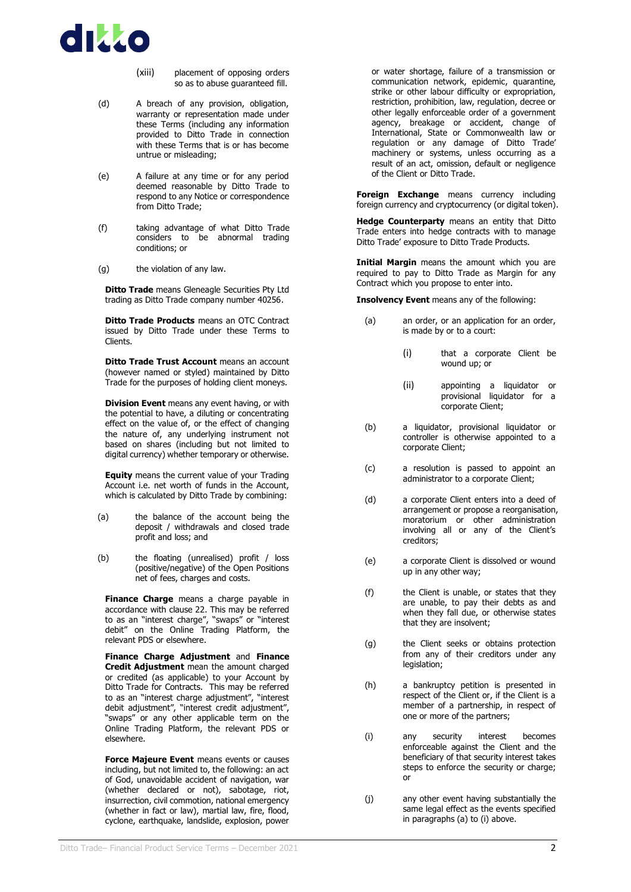

- (xiii) placement of opposing orders so as to abuse guaranteed fill.
- (d) A breach of any provision, obligation, warranty or representation made under these Terms (including any information provided to Ditto Trade in connection with these Terms that is or has become untrue or misleading;
- (e) A failure at any time or for any period deemed reasonable by Ditto Trade to respond to any Notice or correspondence from Ditto Trade;
- (f) taking advantage of what Ditto Trade considers to be abnormal trading conditions; or
- (g) the violation of any law.

**Ditto Trade** means Gleneagle Securities Pty Ltd trading as Ditto Trade company number 40256.

**Ditto Trade Products** means an OTC Contract issued by Ditto Trade under these Terms to Clients.

**Ditto Trade Trust Account** means an account (however named or styled) maintained by Ditto Trade for the purposes of holding client moneys.

**Division Event** means any event having, or with the potential to have, a diluting or concentrating effect on the value of, or the effect of changing the nature of, any underlying instrument not based on shares (including but not limited to digital currency) whether temporary or otherwise.

**Equity** means the current value of your Trading Account i.e. net worth of funds in the Account, which is calculated by Ditto Trade by combining:

- (a) the balance of the account being the deposit / withdrawals and closed trade profit and loss; and
- (b) the floating (unrealised) profit / loss (positive/negative) of the Open Positions net of fees, charges and costs.

**Finance Charge** means a charge payable in accordance with clause [22.](#page-16-1) This may be referred to as an "interest charge", "swaps" or "interest debit" on the Online Trading Platform, the relevant PDS or elsewhere.

**Finance Charge Adjustment** and **Finance Credit Adjustment** mean the amount charged or credited (as applicable) to your Account by Ditto Trade for Contracts. This may be referred to as an "interest charge adjustment", "interest debit adjustment", "interest credit adjustment", "swaps" or any other applicable term on the Online Trading Platform, the relevant PDS or elsewhere.

**Force Majeure Event** means events or causes including, but not limited to, the following: an act of God, unavoidable accident of navigation, war (whether declared or not), sabotage, riot, insurrection, civil commotion, national emergency (whether in fact or law), martial law, fire, flood, cyclone, earthquake, landslide, explosion, power

or water shortage, failure of a transmission or communication network, epidemic, quarantine, strike or other labour difficulty or expropriation, restriction, prohibition, law, regulation, decree or other legally enforceable order of a government agency, breakage or accident, change of International, State or Commonwealth law or regulation or any damage of Ditto Trade' machinery or systems, unless occurring as a result of an act, omission, default or negligence of the Client or Ditto Trade.

**Foreign Exchange** means currency including foreign currency and cryptocurrency (or digital token).

**Hedge Counterparty** means an entity that Ditto Trade enters into hedge contracts with to manage Ditto Trade' exposure to Ditto Trade Products.

**Initial Margin** means the amount which you are required to pay to Ditto Trade as Margin for any Contract which you propose to enter into.

<span id="page-5-0"></span>**Insolvency Event** means any of the following:

- (a) an order, or an application for an order, is made by or to a court:
	- (i) that a corporate Client be wound up; or
	- (ii) appointing a liquidator or provisional liquidator for a corporate Client;
- (b) a liquidator, provisional liquidator or controller is otherwise appointed to a corporate Client;
- (c) a resolution is passed to appoint an administrator to a corporate Client;
- (d) a corporate Client enters into a deed of arrangement or propose a reorganisation, moratorium or other administration involving all or any of the Client's creditors;
- (e) a corporate Client is dissolved or wound up in any other way;
- (f) the Client is unable, or states that they are unable, to pay their debts as and when they fall due, or otherwise states that they are insolvent;
- (g) the Client seeks or obtains protection from any of their creditors under any legislation;
- (h) a bankruptcy petition is presented in respect of the Client or, if the Client is a member of a partnership, in respect of one or more of the partners;
- <span id="page-5-1"></span>(i) any security interest becomes enforceable against the Client and the beneficiary of that security interest takes steps to enforce the security or charge; or
- (j) any other event having substantially the same legal effect as the events specified in paragraph[s \(a\)](#page-5-0) t[o \(i\)](#page-5-1) above.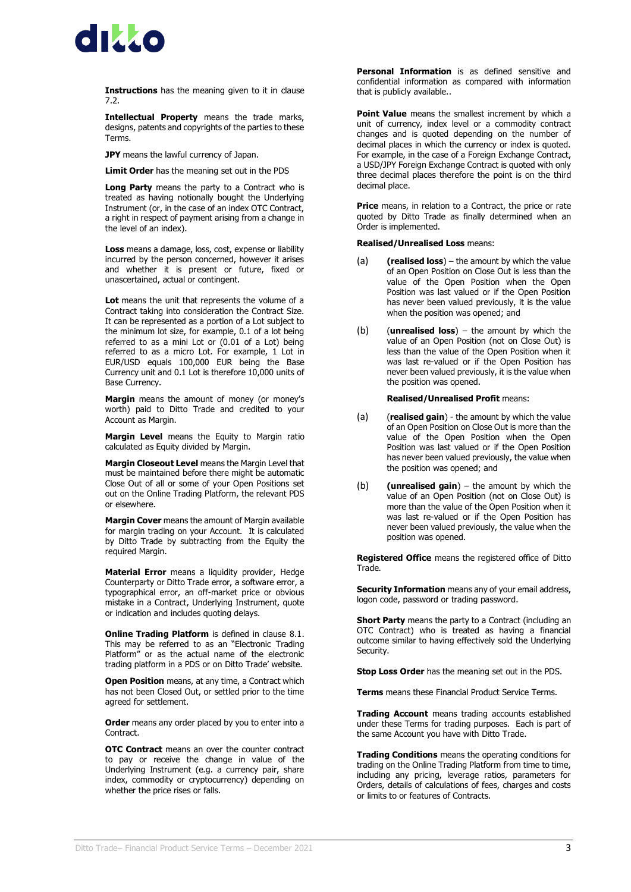

**Instructions** has the meaning given to it in clause [7.2.](#page-11-1)

**Intellectual Property** means the trade marks, designs, patents and copyrights of the parties to these Terms.

**JPY** means the lawful currency of Japan.

**Limit Order** has the meaning set out in the PDS

**Long Party** means the party to a Contract who is treated as having notionally bought the Underlying Instrument (or, in the case of an index OTC Contract, a right in respect of payment arising from a change in the level of an index).

**Loss** means a damage, loss, cost, expense or liability incurred by the person concerned, however it arises and whether it is present or future, fixed or unascertained, actual or contingent.

Lot means the unit that represents the volume of a Contract taking into consideration the Contract Size. It can be represented as a portion of a Lot subject to the minimum lot size, for example, 0.1 of a lot being referred to as a mini Lot or (0.01 of a Lot) being referred to as a micro Lot. For example,  $1$  Lot in EUR/USD equals 100,000 EUR being the Base Currency unit and 0.1 Lot is therefore 10,000 units of Base Currency.

**Margin** means the amount of money (or money's worth) paid to Ditto Trade and credited to your Account as Margin.

**Margin Level** means the Equity to Margin ratio calculated as Equity divided by Margin.

**Margin Closeout Level** means the Margin Level that must be maintained before there might be automatic Close Out of all or some of your Open Positions set out on the Online Trading Platform, the relevant PDS or elsewhere.

**Margin Cover** means the amount of Margin available for margin trading on your Account. It is calculated by Ditto Trade by subtracting from the Equity the required Margin.

**Material Error** means a liquidity provider, Hedge Counterparty or Ditto Trade error, a software error, a typographical error, an off-market price or obvious mistake in a Contract, Underlying Instrument, quote or indication and includes quoting delays.

**Online Trading Platform** is defined in clause [8.1.](#page-11-2) This may be referred to as an "Electronic Trading Platform" or as the actual name of the electronic trading platform in a PDS or on Ditto Trade' website.

**Open Position** means, at any time, a Contract which has not been Closed Out, or settled prior to the time agreed for settlement.

**Order** means any order placed by you to enter into a Contract.

**OTC Contract** means an over the counter contract to pay or receive the change in value of the Underlying Instrument (e.g. a currency pair, share index, commodity or cryptocurrency) depending on whether the price rises or falls.

**Personal Information** is as defined sensitive and confidential information as compared with information that is publicly available..

**Point Value** means the smallest increment by which a unit of currency, index level or a commodity contract changes and is quoted depending on the number of decimal places in which the currency or index is quoted. For example, in the case of a Foreign Exchange Contract, a USD/JPY Foreign Exchange Contract is quoted with only three decimal places therefore the point is on the third decimal place.

**Price** means, in relation to a Contract, the price or rate quoted by Ditto Trade as finally determined when an Order is implemented.

#### **Realised/Unrealised Loss** means:

- (a) **(realised loss**) the amount by which the value of an Open Position on Close Out is less than the value of the Open Position when the Open Position was last valued or if the Open Position has never been valued previously, it is the value when the position was opened; and
- (b) (**unrealised loss**) the amount by which the value of an Open Position (not on Close Out) is less than the value of the Open Position when it was last re-valued or if the Open Position has never been valued previously, it is the value when the position was opened.

#### **Realised/Unrealised Profit** means:

- (a) (**realised gain**) the amount by which the value of an Open Position on Close Out is more than the value of the Open Position when the Open Position was last valued or if the Open Position has never been valued previously, the value when the position was opened; and
- (b) **(unrealised gain**) the amount by which the value of an Open Position (not on Close Out) is more than the value of the Open Position when it was last re-valued or if the Open Position has never been valued previously, the value when the position was opened.

**Registered Office** means the registered office of Ditto Trade.

**Security Information** means any of your email address, logon code, password or trading password.

**Short Party** means the party to a Contract (including an OTC Contract) who is treated as having a financial outcome similar to having effectively sold the Underlying Security.

**Stop Loss Order** has the meaning set out in the PDS.

**Terms** means these Financial Product Service Terms.

**Trading Account** means trading accounts established under these Terms for trading purposes. Each is part of the same Account you have with Ditto Trade.

**Trading Conditions** means the operating conditions for trading on the Online Trading Platform from time to time, including any pricing, leverage ratios, parameters for Orders, details of calculations of fees, charges and costs or limits to or features of Contracts.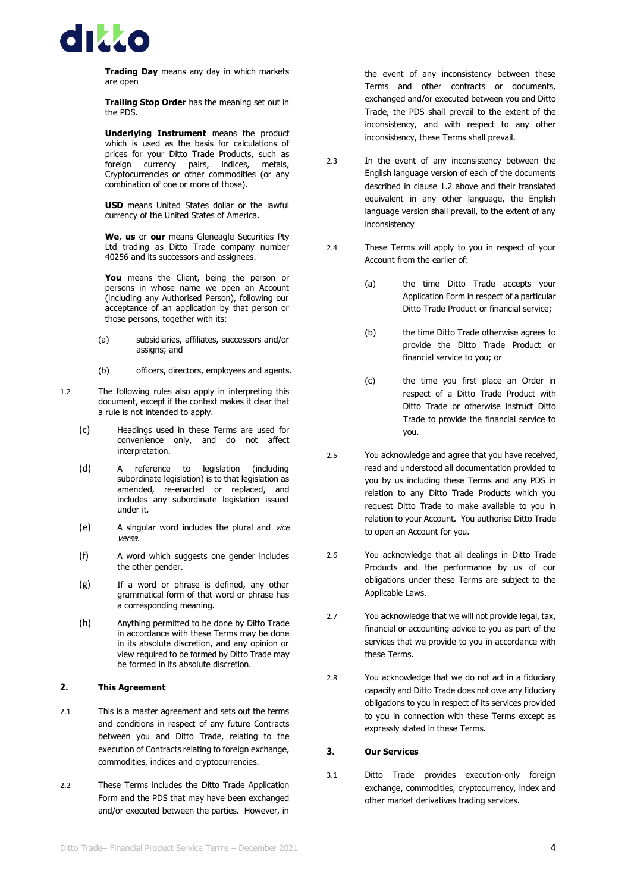

**Trading Day** means any day in which markets are open

**Trailing Stop Order** has the meaning set out in the PDS.

**Underlying Instrument** means the product which is used as the basis for calculations of prices for your Ditto Trade Products, such as foreign currency pairs, indices, metals, Cryptocurrencies or other commodities (or any combination of one or more of those).

**USD** means United States dollar or the lawful currency of the United States of America.

**We**, **us** or **our** means Gleneagle Securities Pty Ltd trading as Ditto Trade company number 40256 and its successors and assignees.

You means the Client, being the person or persons in whose name we open an Account (including any Authorised Person), following our acceptance of an application by that person or those persons, together with its:

- (a) subsidiaries, affiliates, successors and/or assigns; and
- (b) officers, directors, employees and agents.
- <span id="page-7-2"></span>1.2 The following rules also apply in interpreting this document, except if the context makes it clear that a rule is not intended to apply.
	- (c) Headings used in these Terms are used for convenience only, and do not affect interpretation.
	- (d) A reference to legislation (including subordinate legislation) is to that legislation as amended, re-enacted or replaced, and includes any subordinate legislation issued under it.
	- (e) A singular word includes the plural and vice versa.
	- (f) A word which suggests one gender includes the other gender.
	- (g) If a word or phrase is defined, any other grammatical form of that word or phrase has a corresponding meaning.
	- (h) Anything permitted to be done by Ditto Trade in accordance with these Terms may be done in its absolute discretion, and any opinion or view required to be formed by Ditto Trade may be formed in its absolute discretion.

#### <span id="page-7-0"></span>**2. This Agreement**

- 2.1 This is a master agreement and sets out the terms and conditions in respect of any future Contracts between you and Ditto Trade, relating to the execution of Contracts relating to foreign exchange, commodities, indices and cryptocurrencies.
- 2.2 These Terms includes the Ditto Trade Application Form and the PDS that may have been exchanged and/or executed between the parties. However, in

the event of any inconsistency between these Terms and other contracts or documents, exchanged and/or executed between you and Ditto Trade, the PDS shall prevail to the extent of the inconsistency, and with respect to any other inconsistency, these Terms shall prevail.

- 2.3 In the event of any inconsistency between the English language version of each of the documents described in clause [1.2](#page-7-2) above and their translated equivalent in any other language, the English language version shall prevail, to the extent of any inconsistency
- 2.4 These Terms will apply to you in respect of your Account from the earlier of:
	- (a) the time Ditto Trade accepts your Application Form in respect of a particular Ditto Trade Product or financial service;
	- (b) the time Ditto Trade otherwise agrees to provide the Ditto Trade Product or financial service to you; or
	- (c) the time you first place an Order in respect of a Ditto Trade Product with Ditto Trade or otherwise instruct Ditto Trade to provide the financial service to you.
- 2.5 You acknowledge and agree that you have received, read and understood all documentation provided to you by us including these Terms and any PDS in relation to any Ditto Trade Products which you request Ditto Trade to make available to you in relation to your Account. You authorise Ditto Trade to open an Account for you.
- 2.6 You acknowledge that all dealings in Ditto Trade Products and the performance by us of our obligations under these Terms are subject to the Applicable Laws.
- 2.7 You acknowledge that we will not provide legal, tax, financial or accounting advice to you as part of the services that we provide to you in accordance with these Terms.
- 2.8 You acknowledge that we do not act in a fiduciary capacity and Ditto Trade does not owe any fiduciary obligations to you in respect of its services provided to you in connection with these Terms except as expressly stated in these Terms.

#### <span id="page-7-1"></span>**3. Our Services**

3.1 Ditto Trade provides execution-only foreign exchange, commodities, cryptocurrency, index and other market derivatives trading services.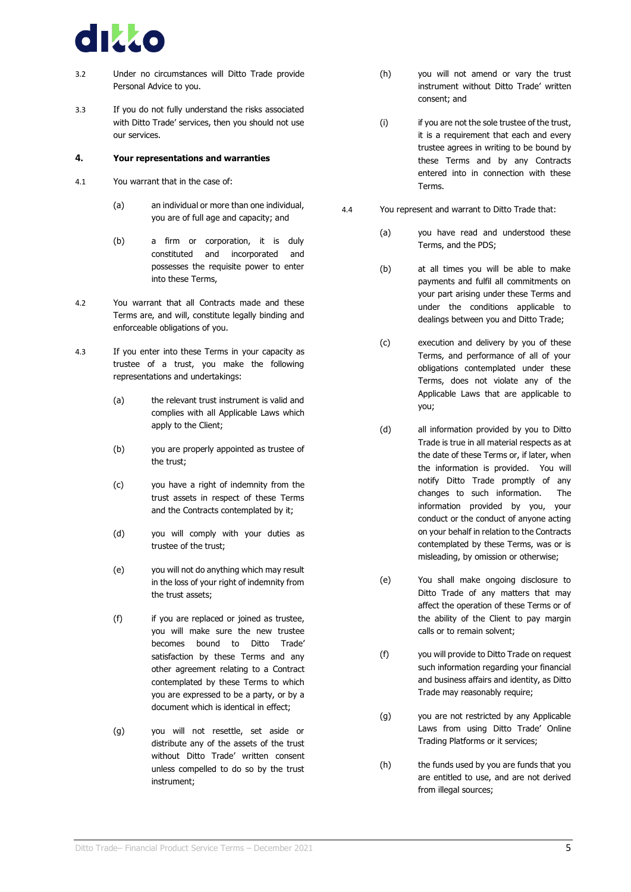

- 3.2 Under no circumstances will Ditto Trade provide Personal Advice to you.
- 3.3 If you do not fully understand the risks associated with Ditto Trade' services, then you should not use our services.

#### <span id="page-8-0"></span>**4. Your representations and warranties**

- 4.1 You warrant that in the case of:
	- (a) an individual or more than one individual, you are of full age and capacity; and
	- (b) a firm or corporation, it is duly constituted and incorporated and possesses the requisite power to enter into these Terms,
- 4.2 You warrant that all Contracts made and these Terms are, and will, constitute legally binding and enforceable obligations of you.
- 4.3 If you enter into these Terms in your capacity as trustee of a trust, you make the following representations and undertakings:
	- (a) the relevant trust instrument is valid and complies with all Applicable Laws which apply to the Client;
	- (b) you are properly appointed as trustee of the trust;
	- (c) you have a right of indemnity from the trust assets in respect of these Terms and the Contracts contemplated by it;
	- (d) you will comply with your duties as trustee of the trust;
	- (e) you will not do anything which may result in the loss of your right of indemnity from the trust assets;
	- (f) if you are replaced or joined as trustee, you will make sure the new trustee becomes bound to Ditto Trade' satisfaction by these Terms and any other agreement relating to a Contract contemplated by these Terms to which you are expressed to be a party, or by a document which is identical in effect;
	- (g) you will not resettle, set aside or distribute any of the assets of the trust without Ditto Trade' written consent unless compelled to do so by the trust instrument;
- (h) you will not amend or vary the trust instrument without Ditto Trade' written consent; and
- (i) if you are not the sole trustee of the trust, it is a requirement that each and every trustee agrees in writing to be bound by these Terms and by any Contracts entered into in connection with these Terms.
- 4.4 You represent and warrant to Ditto Trade that:
	- (a) you have read and understood these Terms, and the PDS;
	- (b) at all times you will be able to make payments and fulfil all commitments on your part arising under these Terms and under the conditions applicable to dealings between you and Ditto Trade;
	- (c) execution and delivery by you of these Terms, and performance of all of your obligations contemplated under these Terms, does not violate any of the Applicable Laws that are applicable to you;
	- (d) all information provided by you to Ditto Trade is true in all material respects as at the date of these Terms or, if later, when the information is provided. You will notify Ditto Trade promptly of any changes to such information. The information provided by you, your conduct or the conduct of anyone acting on your behalf in relation to the Contracts contemplated by these Terms, was or is misleading, by omission or otherwise;
	- (e) You shall make ongoing disclosure to Ditto Trade of any matters that may affect the operation of these Terms or of the ability of the Client to pay margin calls or to remain solvent;
	- (f) you will provide to Ditto Trade on request such information regarding your financial and business affairs and identity, as Ditto Trade may reasonably require;
	- (g) you are not restricted by any Applicable Laws from using Ditto Trade' Online Trading Platforms or it services;
	- (h) the funds used by you are funds that you are entitled to use, and are not derived from illegal sources;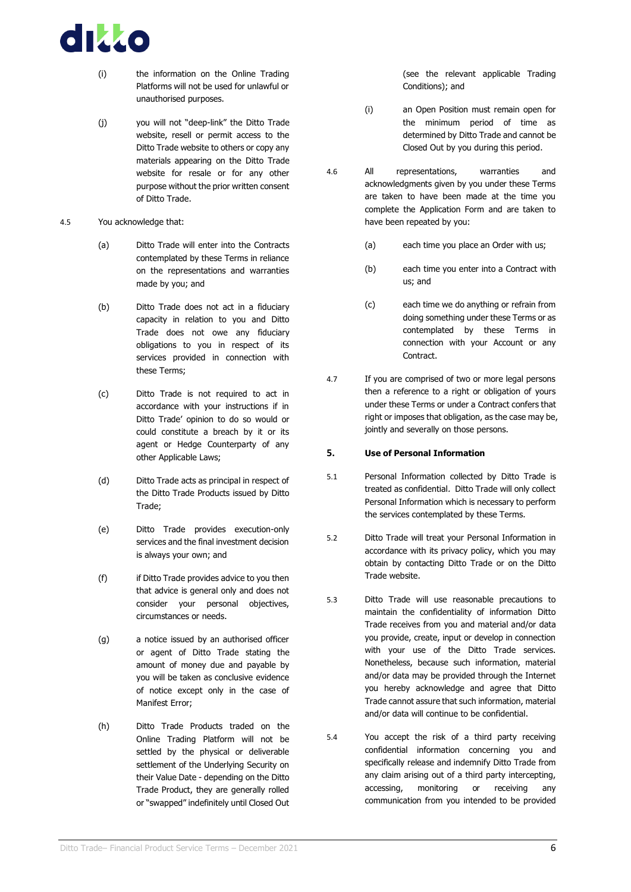

- (i) the information on the Online Trading Platforms will not be used for unlawful or unauthorised purposes.
- (j) you will not "deep-link" the Ditto Trade website, resell or permit access to the Ditto Trade website to others or copy any materials appearing on the Ditto Trade website for resale or for any other purpose without the prior written consent of Ditto Trade.
- 4.5 You acknowledge that:
	- (a) Ditto Trade will enter into the Contracts contemplated by these Terms in reliance on the representations and warranties made by you; and
	- (b) Ditto Trade does not act in a fiduciary capacity in relation to you and Ditto Trade does not owe any fiduciary obligations to you in respect of its services provided in connection with these Terms;
	- (c) Ditto Trade is not required to act in accordance with your instructions if in Ditto Trade' opinion to do so would or could constitute a breach by it or its agent or Hedge Counterparty of any other Applicable Laws;
	- (d) Ditto Trade acts as principal in respect of the Ditto Trade Products issued by Ditto Trade;
	- (e) Ditto Trade provides execution-only services and the final investment decision is always your own; and
	- (f) if Ditto Trade provides advice to you then that advice is general only and does not consider your personal objectives, circumstances or needs.
	- (g) a notice issued by an authorised officer or agent of Ditto Trade stating the amount of money due and payable by you will be taken as conclusive evidence of notice except only in the case of Manifest Error;
	- (h) Ditto Trade Products traded on the Online Trading Platform will not be settled by the physical or deliverable settlement of the Underlying Security on their Value Date - depending on the Ditto Trade Product, they are generally rolled or "swapped" indefinitely until Closed Out

(see the relevant applicable Trading Conditions); and

- (i) an Open Position must remain open for the minimum period of time as determined by Ditto Trade and cannot be Closed Out by you during this period.
- 4.6 All representations, warranties and acknowledgments given by you under these Terms are taken to have been made at the time you complete the Application Form and are taken to have been repeated by you:
	- (a) each time you place an Order with us;
	- (b) each time you enter into a Contract with us; and
	- (c) each time we do anything or refrain from doing something under these Terms or as contemplated by these Terms in connection with your Account or any Contract.
- 4.7 If you are comprised of two or more legal persons then a reference to a right or obligation of yours under these Terms or under a Contract confers that right or imposes that obligation, as the case may be, jointly and severally on those persons.

#### <span id="page-9-0"></span>**5. Use of Personal Information**

- 5.1 Personal Information collected by Ditto Trade is treated as confidential. Ditto Trade will only collect Personal Information which is necessary to perform the services contemplated by these Terms.
- 5.2 Ditto Trade will treat your Personal Information in accordance with its privacy policy, which you may obtain by contacting Ditto Trade or on the Ditto Trade website.
- 5.3 Ditto Trade will use reasonable precautions to maintain the confidentiality of information Ditto Trade receives from you and material and/or data you provide, create, input or develop in connection with your use of the Ditto Trade services. Nonetheless, because such information, material and/or data may be provided through the Internet you hereby acknowledge and agree that Ditto Trade cannot assure that such information, material and/or data will continue to be confidential.
- 5.4 You accept the risk of a third party receiving confidential information concerning you and specifically release and indemnify Ditto Trade from any claim arising out of a third party intercepting, accessing, monitoring or receiving any communication from you intended to be provided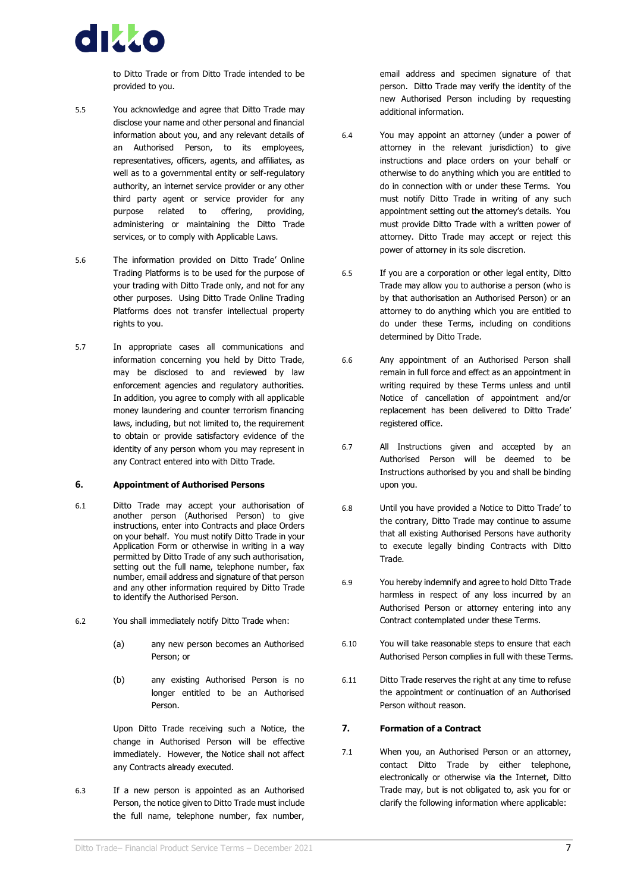

to Ditto Trade or from Ditto Trade intended to be provided to you.

- 5.5 You acknowledge and agree that Ditto Trade may disclose your name and other personal and financial information about you, and any relevant details of an Authorised Person, to its employees, representatives, officers, agents, and affiliates, as well as to a governmental entity or self-regulatory authority, an internet service provider or any other third party agent or service provider for any purpose related to offering, providing, administering or maintaining the Ditto Trade services, or to comply with Applicable Laws.
- 5.6 The information provided on Ditto Trade' Online Trading Platforms is to be used for the purpose of your trading with Ditto Trade only, and not for any other purposes. Using Ditto Trade Online Trading Platforms does not transfer intellectual property rights to you.
- 5.7 In appropriate cases all communications and information concerning you held by Ditto Trade, may be disclosed to and reviewed by law enforcement agencies and regulatory authorities. In addition, you agree to comply with all applicable money laundering and counter terrorism financing laws, including, but not limited to, the requirement to obtain or provide satisfactory evidence of the identity of any person whom you may represent in any Contract entered into with Ditto Trade.

#### <span id="page-10-0"></span>**6. Appointment of Authorised Persons**

- 6.1 Ditto Trade may accept your authorisation of another person (Authorised Person) to give instructions, enter into Contracts and place Orders on your behalf. You must notify Ditto Trade in your Application Form or otherwise in writing in a way permitted by Ditto Trade of any such authorisation, setting out the full name, telephone number, fax number, email address and signature of that person and any other information required by Ditto Trade to identify the Authorised Person.
- 6.2 You shall immediately notify Ditto Trade when:
	- (a) any new person becomes an Authorised Person; or
	- (b) any existing Authorised Person is no longer entitled to be an Authorised Person.

Upon Ditto Trade receiving such a Notice, the change in Authorised Person will be effective immediately. However, the Notice shall not affect any Contracts already executed.

6.3 If a new person is appointed as an Authorised Person, the notice given to Ditto Trade must include the full name, telephone number, fax number,

email address and specimen signature of that person. Ditto Trade may verify the identity of the new Authorised Person including by requesting additional information.

- 6.4 You may appoint an attorney (under a power of attorney in the relevant jurisdiction) to give instructions and place orders on your behalf or otherwise to do anything which you are entitled to do in connection with or under these Terms. You must notify Ditto Trade in writing of any such appointment setting out the attorney's details. You must provide Ditto Trade with a written power of attorney. Ditto Trade may accept or reject this power of attorney in its sole discretion.
- 6.5 If you are a corporation or other legal entity, Ditto Trade may allow you to authorise a person (who is by that authorisation an Authorised Person) or an attorney to do anything which you are entitled to do under these Terms, including on conditions determined by Ditto Trade.
- 6.6 Any appointment of an Authorised Person shall remain in full force and effect as an appointment in writing required by these Terms unless and until Notice of cancellation of appointment and/or replacement has been delivered to Ditto Trade' registered office.
- 6.7 All Instructions given and accepted by an Authorised Person will be deemed to be Instructions authorised by you and shall be binding upon you.
- 6.8 Until you have provided a Notice to Ditto Trade' to the contrary, Ditto Trade may continue to assume that all existing Authorised Persons have authority to execute legally binding Contracts with Ditto Trade.
- 6.9 You hereby indemnify and agree to hold Ditto Trade harmless in respect of any loss incurred by an Authorised Person or attorney entering into any Contract contemplated under these Terms.
- 6.10 You will take reasonable steps to ensure that each Authorised Person complies in full with these Terms.
- 6.11 Ditto Trade reserves the right at any time to refuse the appointment or continuation of an Authorised Person without reason.

#### <span id="page-10-2"></span><span id="page-10-1"></span>**7. Formation of a Contract**

7.1 When you, an Authorised Person or an attorney, contact Ditto Trade by either telephone, electronically or otherwise via the Internet, Ditto Trade may, but is not obligated to, ask you for or clarify the following information where applicable: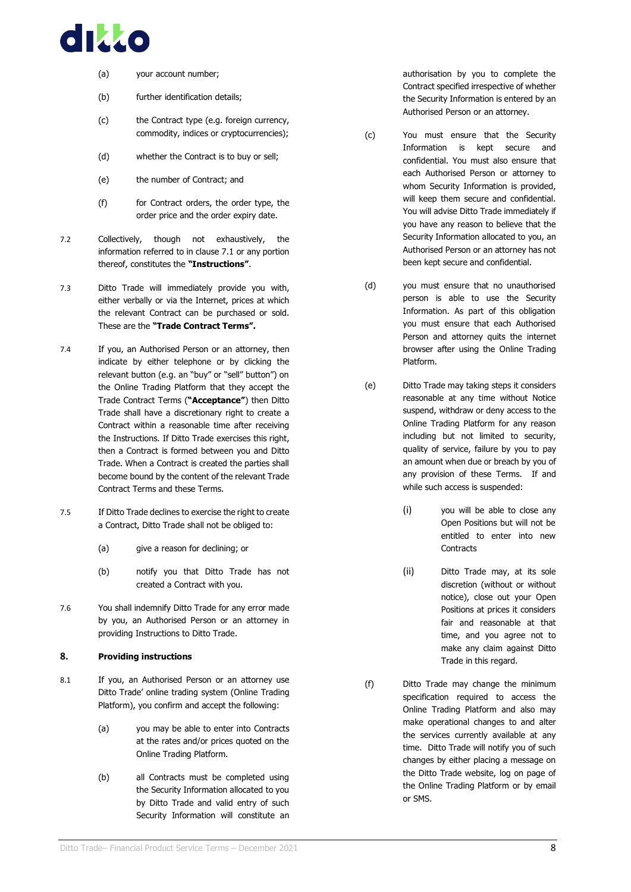

- (a) your account number;
- (b) further identification details;
- (c) the Contract type (e.g. foreign currency, commodity, indices or cryptocurrencies);
- (d) whether the Contract is to buy or sell;
- (e) the number of Contract; and
- (f) for Contract orders, the order type, the order price and the order expiry date.
- <span id="page-11-1"></span>7.2 Collectively, though not exhaustively, the information referred to in clause [7.1](#page-10-2) or any portion thereof, constitutes the **"Instructions"**.
- 7.3 Ditto Trade will immediately provide you with, either verbally or via the Internet, prices at which the relevant Contract can be purchased or sold. These are the **"Trade Contract Terms".**
- 7.4 If you, an Authorised Person or an attorney, then indicate by either telephone or by clicking the relevant button (e.g. an "buy" or "sell" button") on the Online Trading Platform that they accept the Trade Contract Terms (**"Acceptance"**) then Ditto Trade shall have a discretionary right to create a Contract within a reasonable time after receiving the Instructions. If Ditto Trade exercises this right, then a Contract is formed between you and Ditto Trade. When a Contract is created the parties shall become bound by the content of the relevant Trade Contract Terms and these Terms.
- 7.5 If Ditto Trade declines to exercise the right to create a Contract, Ditto Trade shall not be obliged to:
	- (a) give a reason for declining; or
	- (b) notify you that Ditto Trade has not created a Contract with you.
- 7.6 You shall indemnify Ditto Trade for any error made by you, an Authorised Person or an attorney in providing Instructions to Ditto Trade.

#### <span id="page-11-2"></span><span id="page-11-0"></span>**8. Providing instructions**

- 8.1 If you, an Authorised Person or an attorney use Ditto Trade' online trading system (Online Trading Platform), you confirm and accept the following:
	- (a) you may be able to enter into Contracts at the rates and/or prices quoted on the Online Trading Platform.
	- (b) all Contracts must be completed using the Security Information allocated to you by Ditto Trade and valid entry of such Security Information will constitute an

authorisation by you to complete the Contract specified irrespective of whether the Security Information is entered by an Authorised Person or an attorney.

- (c) You must ensure that the Security Information is kept secure and confidential. You must also ensure that each Authorised Person or attorney to whom Security Information is provided, will keep them secure and confidential. You will advise Ditto Trade immediately if you have any reason to believe that the Security Information allocated to you, an Authorised Person or an attorney has not been kept secure and confidential.
- (d) you must ensure that no unauthorised person is able to use the Security Information. As part of this obligation you must ensure that each Authorised Person and attorney quits the internet browser after using the Online Trading Platform.
- (e) Ditto Trade may taking steps it considers reasonable at any time without Notice suspend, withdraw or deny access to the Online Trading Platform for any reason including but not limited to security, quality of service, failure by you to pay an amount when due or breach by you of any provision of these Terms. If and while such access is suspended:
	- (i) you will be able to close any Open Positions but will not be entitled to enter into new **Contracts**
	- (ii) Ditto Trade may, at its sole discretion (without or without notice), close out your Open Positions at prices it considers fair and reasonable at that time, and you agree not to make any claim against Ditto Trade in this regard.
- (f) Ditto Trade may change the minimum specification required to access the Online Trading Platform and also may make operational changes to and alter the services currently available at any time. Ditto Trade will notify you of such changes by either placing a message on the Ditto Trade website, log on page of the Online Trading Platform or by email or SMS.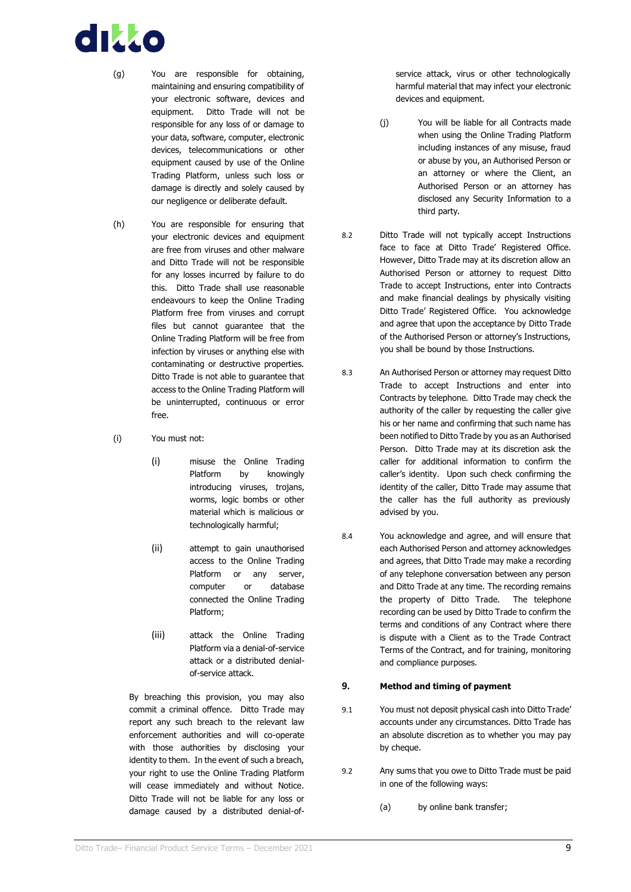# dikko

- (g) You are responsible for obtaining, maintaining and ensuring compatibility of your electronic software, devices and equipment. Ditto Trade will not be responsible for any loss of or damage to your data, software, computer, electronic devices, telecommunications or other equipment caused by use of the Online Trading Platform, unless such loss or damage is directly and solely caused by our negligence or deliberate default.
- (h) You are responsible for ensuring that your electronic devices and equipment are free from viruses and other malware and Ditto Trade will not be responsible for any losses incurred by failure to do this. Ditto Trade shall use reasonable endeavours to keep the Online Trading Platform free from viruses and corrupt files but cannot guarantee that the Online Trading Platform will be free from infection by viruses or anything else with contaminating or destructive properties. Ditto Trade is not able to guarantee that access to the Online Trading Platform will be uninterrupted, continuous or error free.
- (i) You must not:
	- (i) misuse the Online Trading Platform by knowingly introducing viruses, trojans, worms, logic bombs or other material which is malicious or technologically harmful;
	- (ii) attempt to gain unauthorised access to the Online Trading Platform or any server, computer or database connected the Online Trading Platform;
	- (iii) attack the Online Trading Platform via a denial-of-service attack or a distributed denialof-service attack.

By breaching this provision, you may also commit a criminal offence. Ditto Trade may report any such breach to the relevant law enforcement authorities and will co-operate with those authorities by disclosing your identity to them. In the event of such a breach, your right to use the Online Trading Platform will cease immediately and without Notice. Ditto Trade will not be liable for any loss or damage caused by a distributed denial-ofservice attack, virus or other technologically harmful material that may infect your electronic devices and equipment.

- (j) You will be liable for all Contracts made when using the Online Trading Platform including instances of any misuse, fraud or abuse by you, an Authorised Person or an attorney or where the Client, an Authorised Person or an attorney has disclosed any Security Information to a third party.
- 8.2 Ditto Trade will not typically accept Instructions face to face at Ditto Trade' Registered Office. However, Ditto Trade may at its discretion allow an Authorised Person or attorney to request Ditto Trade to accept Instructions, enter into Contracts and make financial dealings by physically visiting Ditto Trade' Registered Office. You acknowledge and agree that upon the acceptance by Ditto Trade of the Authorised Person or attorney's Instructions, you shall be bound by those Instructions.
- 8.3 An Authorised Person or attorney may request Ditto Trade to accept Instructions and enter into Contracts by telephone. Ditto Trade may check the authority of the caller by requesting the caller give his or her name and confirming that such name has been notified to Ditto Trade by you as an Authorised Person. Ditto Trade may at its discretion ask the caller for additional information to confirm the caller's identity. Upon such check confirming the identity of the caller, Ditto Trade may assume that the caller has the full authority as previously advised by you.
- 8.4 You acknowledge and agree, and will ensure that each Authorised Person and attorney acknowledges and agrees, that Ditto Trade may make a recording of any telephone conversation between any person and Ditto Trade at any time. The recording remains the property of Ditto Trade. The telephone recording can be used by Ditto Trade to confirm the terms and conditions of any Contract where there is dispute with a Client as to the Trade Contract Terms of the Contract, and for training, monitoring and compliance purposes.

#### <span id="page-12-0"></span>**9. Method and timing of payment**

- 9.1 You must not deposit physical cash into Ditto Trade' accounts under any circumstances. Ditto Trade has an absolute discretion as to whether you may pay by cheque.
- 9.2 Any sums that you owe to Ditto Trade must be paid in one of the following ways:
	- (a) by online bank transfer;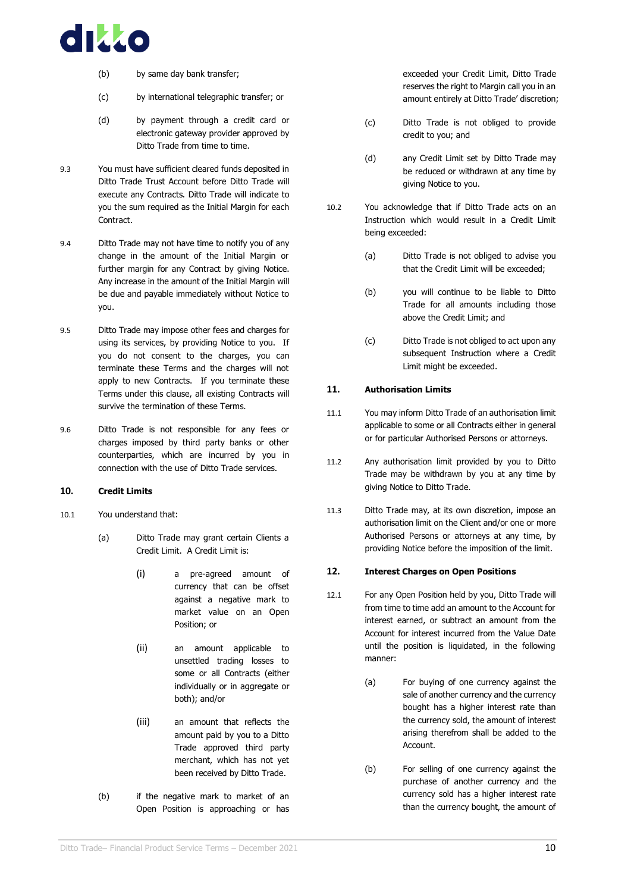

- (b) by same day bank transfer;
- (c) by international telegraphic transfer; or
- (d) by payment through a credit card or electronic gateway provider approved by Ditto Trade from time to time.
- 9.3 You must have sufficient cleared funds deposited in Ditto Trade Trust Account before Ditto Trade will execute any Contracts. Ditto Trade will indicate to you the sum required as the Initial Margin for each **Contract.**
- 9.4 Ditto Trade may not have time to notify you of any change in the amount of the Initial Margin or further margin for any Contract by giving Notice. Any increase in the amount of the Initial Margin will be due and payable immediately without Notice to you.
- 9.5 Ditto Trade may impose other fees and charges for using its services, by providing Notice to you. If you do not consent to the charges, you can terminate these Terms and the charges will not apply to new Contracts. If you terminate these Terms under this clause, all existing Contracts will survive the termination of these Terms.
- 9.6 Ditto Trade is not responsible for any fees or charges imposed by third party banks or other counterparties, which are incurred by you in connection with the use of Ditto Trade services.

#### <span id="page-13-0"></span>**10. Credit Limits**

- 10.1 You understand that:
	- (a) Ditto Trade may grant certain Clients a Credit Limit. A Credit Limit is:
		- (i) a pre-agreed amount of currency that can be offset against a negative mark to market value on an Open Position; or
		- (ii) an amount applicable to unsettled trading losses to some or all Contracts (either individually or in aggregate or both); and/or
		- (iii) an amount that reflects the amount paid by you to a Ditto Trade approved third party merchant, which has not yet been received by Ditto Trade.
	- (b) if the negative mark to market of an Open Position is approaching or has

exceeded your Credit Limit, Ditto Trade reserves the right to Margin call you in an amount entirely at Ditto Trade' discretion;

- (c) Ditto Trade is not obliged to provide credit to you; and
- (d) any Credit Limit set by Ditto Trade may be reduced or withdrawn at any time by giving Notice to you.
- 10.2 You acknowledge that if Ditto Trade acts on an Instruction which would result in a Credit Limit being exceeded:
	- (a) Ditto Trade is not obliged to advise you that the Credit Limit will be exceeded;
	- (b) you will continue to be liable to Ditto Trade for all amounts including those above the Credit Limit; and
	- (c) Ditto Trade is not obliged to act upon any subsequent Instruction where a Credit Limit might be exceeded.

#### <span id="page-13-1"></span>**11. Authorisation Limits**

- 11.1 You may inform Ditto Trade of an authorisation limit applicable to some or all Contracts either in general or for particular Authorised Persons or attorneys.
- 11.2 Any authorisation limit provided by you to Ditto Trade may be withdrawn by you at any time by giving Notice to Ditto Trade.
- 11.3 Ditto Trade may, at its own discretion, impose an authorisation limit on the Client and/or one or more Authorised Persons or attorneys at any time, by providing Notice before the imposition of the limit.

#### <span id="page-13-2"></span>**12. Interest Charges on Open Positions**

- 12.1 For any Open Position held by you, Ditto Trade will from time to time add an amount to the Account for interest earned, or subtract an amount from the Account for interest incurred from the Value Date until the position is liquidated, in the following manner:
	- (a) For buying of one currency against the sale of another currency and the currency bought has a higher interest rate than the currency sold, the amount of interest arising therefrom shall be added to the Account.
	- (b) For selling of one currency against the purchase of another currency and the currency sold has a higher interest rate than the currency bought, the amount of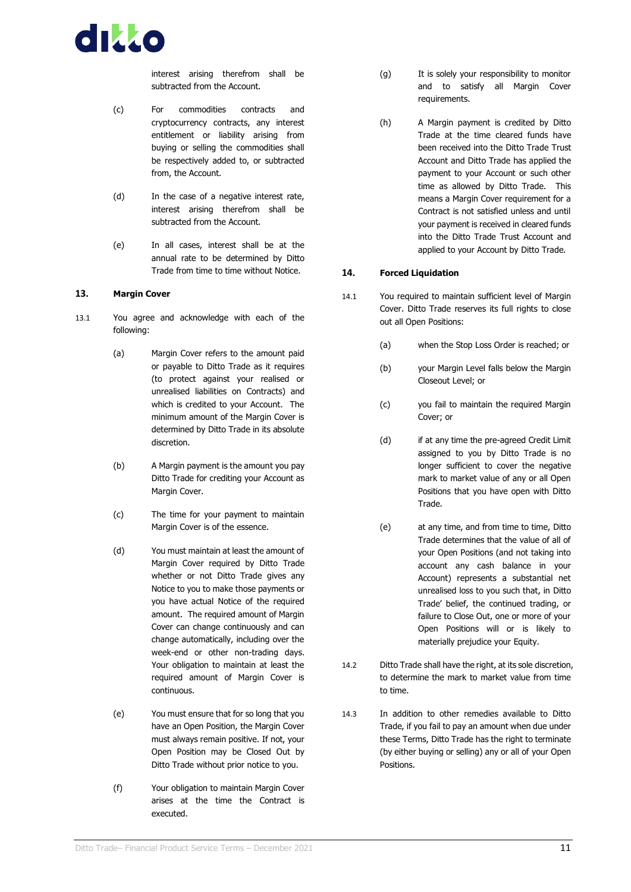

interest arising therefrom shall be subtracted from the Account.

- (c) For commodities contracts and cryptocurrency contracts, any interest entitlement or liability arising from buying or selling the commodities shall be respectively added to, or subtracted from, the Account.
- (d) In the case of a negative interest rate, interest arising therefrom shall be subtracted from the Account.
- (e) In all cases, interest shall be at the annual rate to be determined by Ditto Trade from time to time without Notice.

#### <span id="page-14-0"></span>**13. Margin Cover**

- 13.1 You agree and acknowledge with each of the following:
	- (a) Margin Cover refers to the amount paid or payable to Ditto Trade as it requires (to protect against your realised or unrealised liabilities on Contracts) and which is credited to your Account. The minimum amount of the Margin Cover is determined by Ditto Trade in its absolute discretion.
	- (b) A Margin payment is the amount you pay Ditto Trade for crediting your Account as Margin Cover.
	- (c) The time for your payment to maintain Margin Cover is of the essence.
	- (d) You must maintain at least the amount of Margin Cover required by Ditto Trade whether or not Ditto Trade gives any Notice to you to make those payments or you have actual Notice of the required amount. The required amount of Margin Cover can change continuously and can change automatically, including over the week-end or other non-trading days. Your obligation to maintain at least the required amount of Margin Cover is continuous.
	- (e) You must ensure that for so long that you have an Open Position, the Margin Cover must always remain positive. If not, your Open Position may be Closed Out by Ditto Trade without prior notice to you.
	- (f) Your obligation to maintain Margin Cover arises at the time the Contract is executed.
- (g) It is solely your responsibility to monitor and to satisfy all Margin Cover requirements.
- (h) A Margin payment is credited by Ditto Trade at the time cleared funds have been received into the Ditto Trade Trust Account and Ditto Trade has applied the payment to your Account or such other time as allowed by Ditto Trade. This means a Margin Cover requirement for a Contract is not satisfied unless and until your payment is received in cleared funds into the Ditto Trade Trust Account and applied to your Account by Ditto Trade.

#### <span id="page-14-1"></span>**14. Forced Liquidation**

- 14.1 You required to maintain sufficient level of Margin Cover. Ditto Trade reserves its full rights to close out all Open Positions:
	- (a) when the Stop Loss Order is reached; or
	- (b) your Margin Level falls below the Margin Closeout Level; or
	- (c) you fail to maintain the required Margin Cover; or
	- (d) if at any time the pre-agreed Credit Limit assigned to you by Ditto Trade is no longer sufficient to cover the negative mark to market value of any or all Open Positions that you have open with Ditto Trade.
	- (e) at any time, and from time to time, Ditto Trade determines that the value of all of your Open Positions (and not taking into account any cash balance in your Account) represents a substantial net unrealised loss to you such that, in Ditto Trade' belief, the continued trading, or failure to Close Out, one or more of your Open Positions will or is likely to materially prejudice your Equity.
- 14.2 Ditto Trade shall have the right, at its sole discretion, to determine the mark to market value from time to time.
- 14.3 In addition to other remedies available to Ditto Trade, if you fail to pay an amount when due under these Terms, Ditto Trade has the right to terminate (by either buying or selling) any or all of your Open Positions.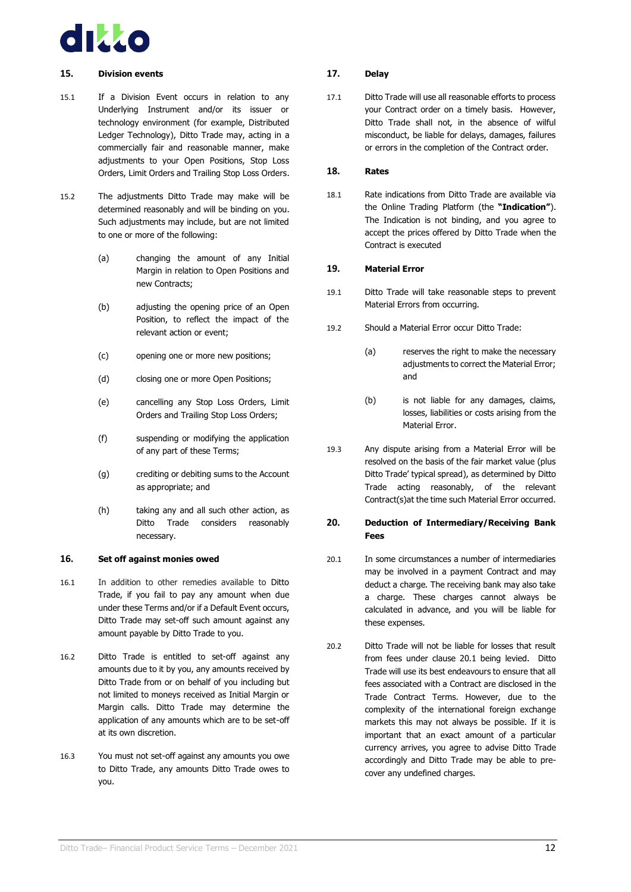

#### <span id="page-15-0"></span>**15. Division events**

- 15.1 If a Division Event occurs in relation to any Underlying Instrument and/or its issuer or technology environment (for example, Distributed Ledger Technology), Ditto Trade may, acting in a commercially fair and reasonable manner, make adjustments to your Open Positions, Stop Loss Orders, Limit Orders and Trailing Stop Loss Orders.
- 15.2 The adjustments Ditto Trade may make will be determined reasonably and will be binding on you. Such adjustments may include, but are not limited to one or more of the following:
	- (a) changing the amount of any Initial Margin in relation to Open Positions and new Contracts;
	- (b) adjusting the opening price of an Open Position, to reflect the impact of the relevant action or event;
	- (c) opening one or more new positions;
	- (d) closing one or more Open Positions;
	- (e) cancelling any Stop Loss Orders, Limit Orders and Trailing Stop Loss Orders;
	- (f) suspending or modifying the application of any part of these Terms;
	- (g) crediting or debiting sums to the Account as appropriate; and
	- (h) taking any and all such other action, as Ditto Trade considers reasonably necessary.

#### <span id="page-15-1"></span>**16. Set off against monies owed**

- 16.1 In addition to other remedies available to Ditto Trade, if you fail to pay any amount when due under these Terms and/or if a Default Event occurs, Ditto Trade may set-off such amount against any amount payable by Ditto Trade to you.
- 16.2 Ditto Trade is entitled to set-off against any amounts due to it by you, any amounts received by Ditto Trade from or on behalf of you including but not limited to moneys received as Initial Margin or Margin calls. Ditto Trade may determine the application of any amounts which are to be set-off at its own discretion.
- 16.3 You must not set-off against any amounts you owe to Ditto Trade, any amounts Ditto Trade owes to you.

#### <span id="page-15-2"></span>**17. Delay**

17.1 Ditto Trade will use all reasonable efforts to process your Contract order on a timely basis. However, Ditto Trade shall not, in the absence of wilful misconduct, be liable for delays, damages, failures or errors in the completion of the Contract order.

#### <span id="page-15-3"></span>**18. Rates**

18.1 Rate indications from Ditto Trade are available via the Online Trading Platform (the **"Indication"**). The Indication is not binding, and you agree to accept the prices offered by Ditto Trade when the Contract is executed

#### <span id="page-15-4"></span>**19. Material Error**

- 19.1 Ditto Trade will take reasonable steps to prevent Material Errors from occurring.
- 19.2 Should a Material Error occur Ditto Trade:
	- (a) reserves the right to make the necessary adjustments to correct the Material Error; and
	- (b) is not liable for any damages, claims, losses, liabilities or costs arising from the Material Error.
- 19.3 Any dispute arising from a Material Error will be resolved on the basis of the fair market value (plus Ditto Trade' typical spread), as determined by Ditto Trade acting reasonably, of the relevant Contract(s)at the time such Material Error occurred.

#### <span id="page-15-5"></span>**20. Deduction of Intermediary/Receiving Bank Fees**

- <span id="page-15-6"></span>20.1 In some circumstances a number of intermediaries may be involved in a payment Contract and may deduct a charge. The receiving bank may also take a charge. These charges cannot always be calculated in advance, and you will be liable for these expenses.
- 20.2 Ditto Trade will not be liable for losses that result from fees under clause [20.1](#page-15-6) being levied. Ditto Trade will use its best endeavours to ensure that all fees associated with a Contract are disclosed in the Trade Contract Terms. However, due to the complexity of the international foreign exchange markets this may not always be possible. If it is important that an exact amount of a particular currency arrives, you agree to advise Ditto Trade accordingly and Ditto Trade may be able to precover any undefined charges.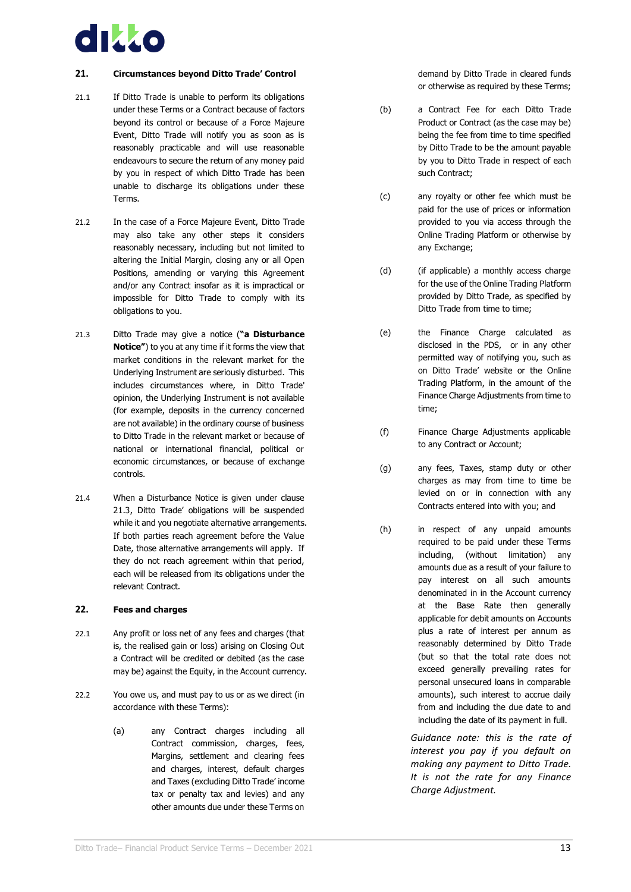

#### <span id="page-16-0"></span>**21. Circumstances beyond Ditto Trade' Control**

- 21.1 If Ditto Trade is unable to perform its obligations under these Terms or a Contract because of factors beyond its control or because of a Force Majeure Event, Ditto Trade will notify you as soon as is reasonably practicable and will use reasonable endeavours to secure the return of any money paid by you in respect of which Ditto Trade has been unable to discharge its obligations under these Terms.
- 21.2 In the case of a Force Majeure Event, Ditto Trade may also take any other steps it considers reasonably necessary, including but not limited to altering the Initial Margin, closing any or all Open Positions, amending or varying this Agreement and/or any Contract insofar as it is impractical or impossible for Ditto Trade to comply with its obligations to you.
- <span id="page-16-2"></span>21.3 Ditto Trade may give a notice (**"a Disturbance Notice"**) to you at any time if it forms the view that market conditions in the relevant market for the Underlying Instrument are seriously disturbed. This includes circumstances where, in Ditto Trade' opinion, the Underlying Instrument is not available (for example, deposits in the currency concerned are not available) in the ordinary course of business to Ditto Trade in the relevant market or because of national or international financial, political or economic circumstances, or because of exchange controls.
- 21.4 When a Disturbance Notice is given under clause [21.3,](#page-16-2) Ditto Trade' obligations will be suspended while it and you negotiate alternative arrangements. If both parties reach agreement before the Value Date, those alternative arrangements will apply. If they do not reach agreement within that period, each will be released from its obligations under the relevant Contract.

#### <span id="page-16-1"></span>**22. Fees and charges**

- 22.1 Any profit or loss net of any fees and charges (that is, the realised gain or loss) arising on Closing Out a Contract will be credited or debited (as the case may be) against the Equity, in the Account currency.
- 22.2 You owe us, and must pay to us or as we direct (in accordance with these Terms):
	- (a) any Contract charges including all Contract commission, charges, fees, Margins, settlement and clearing fees and charges, interest, default charges and Taxes (excluding Ditto Trade' income tax or penalty tax and levies) and any other amounts due under these Terms on

demand by Ditto Trade in cleared funds or otherwise as required by these Terms;

- (b) a Contract Fee for each Ditto Trade Product or Contract (as the case may be) being the fee from time to time specified by Ditto Trade to be the amount payable by you to Ditto Trade in respect of each such Contract;
- (c) any royalty or other fee which must be paid for the use of prices or information provided to you via access through the Online Trading Platform or otherwise by any Exchange;
- (d) (if applicable) a monthly access charge for the use of the Online Trading Platform provided by Ditto Trade, as specified by Ditto Trade from time to time;
- (e) the Finance Charge calculated as disclosed in the PDS, or in any other permitted way of notifying you, such as on Ditto Trade' website or the Online Trading Platform, in the amount of the Finance Charge Adjustments from time to time;
- (f) Finance Charge Adjustments applicable to any Contract or Account;
- (g) any fees, Taxes, stamp duty or other charges as may from time to time be levied on or in connection with any Contracts entered into with you; and
- (h) in respect of any unpaid amounts required to be paid under these Terms including, (without limitation) any amounts due as a result of your failure to pay interest on all such amounts denominated in in the Account currency at the Base Rate then generally applicable for debit amounts on Accounts plus a rate of interest per annum as reasonably determined by Ditto Trade (but so that the total rate does not exceed generally prevailing rates for personal unsecured loans in comparable amounts), such interest to accrue daily from and including the due date to and including the date of its payment in full.

*Guidance note: this is the rate of interest you pay if you default on making any payment to Ditto Trade. It is not the rate for any Finance Charge Adjustment.*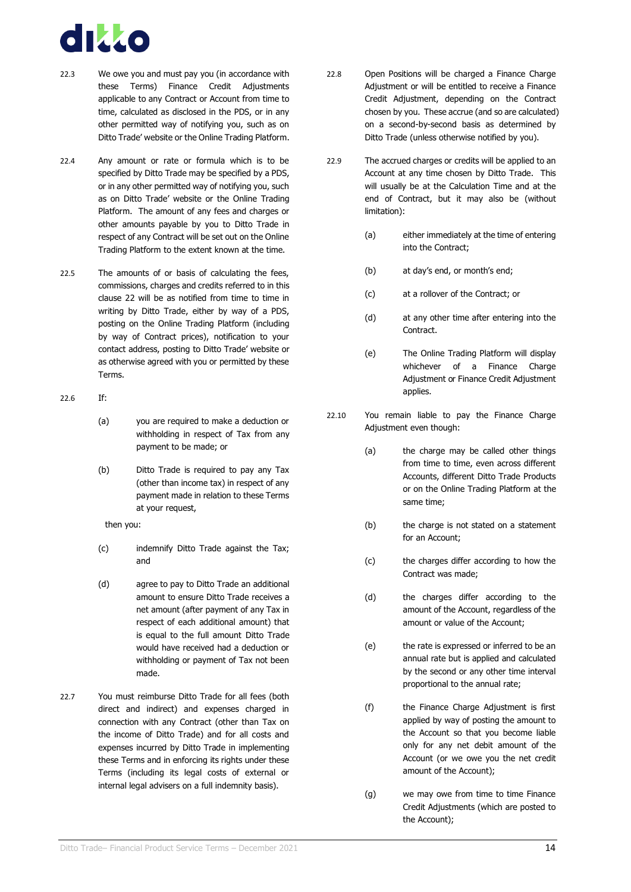

- 22.3 We owe you and must pay you (in accordance with these Terms) Finance Credit Adjustments applicable to any Contract or Account from time to time, calculated as disclosed in the PDS, or in any other permitted way of notifying you, such as on Ditto Trade' website or the Online Trading Platform.
- 22.4 Any amount or rate or formula which is to be specified by Ditto Trade may be specified by a PDS, or in any other permitted way of notifying you, such as on Ditto Trade' website or the Online Trading Platform. The amount of any fees and charges or other amounts payable by you to Ditto Trade in respect of any Contract will be set out on the Online Trading Platform to the extent known at the time.
- 22.5 The amounts of or basis of calculating the fees, commissions, charges and credits referred to in this clause [22](#page-16-1) will be as notified from time to time in writing by Ditto Trade, either by way of a PDS, posting on the Online Trading Platform (including by way of Contract prices), notification to your contact address, posting to Ditto Trade' website or as otherwise agreed with you or permitted by these Terms.
- 22.6 If:
	- (a) you are required to make a deduction or withholding in respect of Tax from any payment to be made; or
	- (b) Ditto Trade is required to pay any Tax (other than income tax) in respect of any payment made in relation to these Terms at your request,

then you:

- (c) indemnify Ditto Trade against the Tax; and
- (d) agree to pay to Ditto Trade an additional amount to ensure Ditto Trade receives a net amount (after payment of any Tax in respect of each additional amount) that is equal to the full amount Ditto Trade would have received had a deduction or withholding or payment of Tax not been made.
- 22.7 You must reimburse Ditto Trade for all fees (both direct and indirect) and expenses charged in connection with any Contract (other than Tax on the income of Ditto Trade) and for all costs and expenses incurred by Ditto Trade in implementing these Terms and in enforcing its rights under these Terms (including its legal costs of external or internal legal advisers on a full indemnity basis).
- 22.8 Open Positions will be charged a Finance Charge Adjustment or will be entitled to receive a Finance Credit Adjustment, depending on the Contract chosen by you. These accrue (and so are calculated) on a second-by-second basis as determined by Ditto Trade (unless otherwise notified by you).
- 22.9 The accrued charges or credits will be applied to an Account at any time chosen by Ditto Trade. This will usually be at the Calculation Time and at the end of Contract, but it may also be (without limitation):
	- (a) either immediately at the time of entering into the Contract;
	- (b) at day's end, or month's end;
	- (c) at a rollover of the Contract; or
	- (d) at any other time after entering into the Contract.
	- (e) The Online Trading Platform will display whichever of a Finance Charge Adjustment or Finance Credit Adjustment applies.
- 22.10 You remain liable to pay the Finance Charge Adjustment even though:
	- (a) the charge may be called other things from time to time, even across different Accounts, different Ditto Trade Products or on the Online Trading Platform at the same time;
	- (b) the charge is not stated on a statement for an Account;
	- (c) the charges differ according to how the Contract was made;
	- (d) the charges differ according to the amount of the Account, regardless of the amount or value of the Account;
	- (e) the rate is expressed or inferred to be an annual rate but is applied and calculated by the second or any other time interval proportional to the annual rate;
	- (f) the Finance Charge Adjustment is first applied by way of posting the amount to the Account so that you become liable only for any net debit amount of the Account (or we owe you the net credit amount of the Account);
	- (g) we may owe from time to time Finance Credit Adjustments (which are posted to the Account);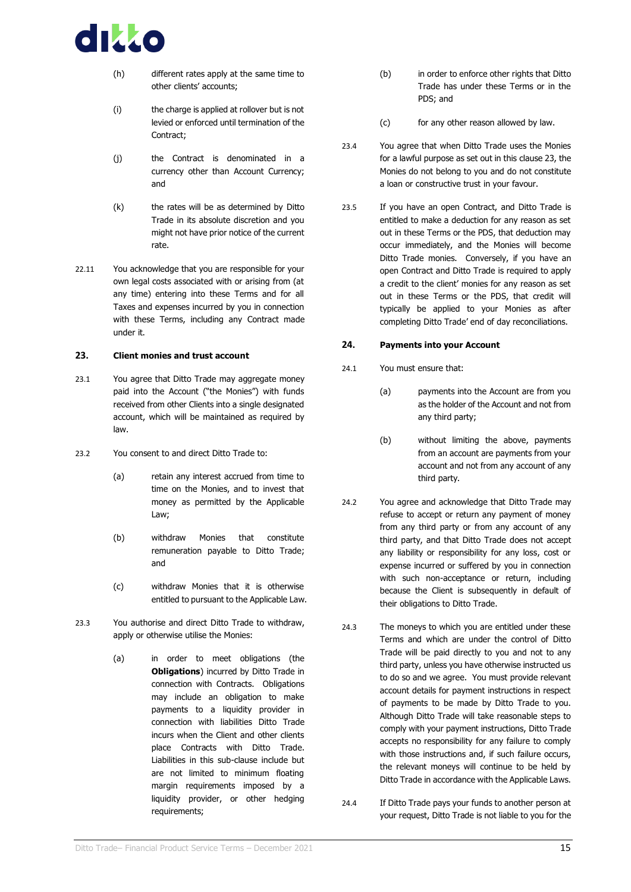

- (h) different rates apply at the same time to other clients' accounts;
- (i) the charge is applied at rollover but is not levied or enforced until termination of the Contract;
- (j) the Contract is denominated in a currency other than Account Currency; and
- (k) the rates will be as determined by Ditto Trade in its absolute discretion and you might not have prior notice of the current rate.
- 22.11 You acknowledge that you are responsible for your own legal costs associated with or arising from (at any time) entering into these Terms and for all Taxes and expenses incurred by you in connection with these Terms, including any Contract made under it.

#### <span id="page-18-0"></span>**23. Client monies and trust account**

- 23.1 You agree that Ditto Trade may aggregate money paid into the Account ("the Monies") with funds received from other Clients into a single designated account, which will be maintained as required by law.
- 23.2 You consent to and direct Ditto Trade to:
	- (a) retain any interest accrued from time to time on the Monies, and to invest that money as permitted by the Applicable Law;
	- (b) withdraw Monies that constitute remuneration payable to Ditto Trade; and
	- (c) withdraw Monies that it is otherwise entitled to pursuant to the Applicable Law.
- 23.3 You authorise and direct Ditto Trade to withdraw, apply or otherwise utilise the Monies:
	- (a) in order to meet obligations (the **Obligations**) incurred by Ditto Trade in connection with Contracts. Obligations may include an obligation to make payments to a liquidity provider in connection with liabilities Ditto Trade incurs when the Client and other clients place Contracts with Ditto Trade. Liabilities in this sub-clause include but are not limited to minimum floating margin requirements imposed by a liquidity provider, or other hedging requirements;
- (b) in order to enforce other rights that Ditto Trade has under these Terms or in the PDS; and
- (c) for any other reason allowed by law.
- 23.4 You agree that when Ditto Trade uses the Monies for a lawful purpose as set out in this claus[e 23,](#page-18-0) the Monies do not belong to you and do not constitute a loan or constructive trust in your favour.
- 23.5 If you have an open Contract, and Ditto Trade is entitled to make a deduction for any reason as set out in these Terms or the PDS, that deduction may occur immediately, and the Monies will become Ditto Trade monies. Conversely, if you have an open Contract and Ditto Trade is required to apply a credit to the client' monies for any reason as set out in these Terms or the PDS, that credit will typically be applied to your Monies as after completing Ditto Trade' end of day reconciliations.

#### <span id="page-18-1"></span>**24. Payments into your Account**

- 24.1 You must ensure that:
	- (a) payments into the Account are from you as the holder of the Account and not from any third party;
	- (b) without limiting the above, payments from an account are payments from your account and not from any account of any third party.
- 24.2 You agree and acknowledge that Ditto Trade may refuse to accept or return any payment of money from any third party or from any account of any third party, and that Ditto Trade does not accept any liability or responsibility for any loss, cost or expense incurred or suffered by you in connection with such non-acceptance or return, including because the Client is subsequently in default of their obligations to Ditto Trade.
- 24.3 The moneys to which you are entitled under these Terms and which are under the control of Ditto Trade will be paid directly to you and not to any third party, unless you have otherwise instructed us to do so and we agree. You must provide relevant account details for payment instructions in respect of payments to be made by Ditto Trade to you. Although Ditto Trade will take reasonable steps to comply with your payment instructions, Ditto Trade accepts no responsibility for any failure to comply with those instructions and, if such failure occurs, the relevant moneys will continue to be held by Ditto Trade in accordance with the Applicable Laws.
- 24.4 If Ditto Trade pays your funds to another person at your request, Ditto Trade is not liable to you for the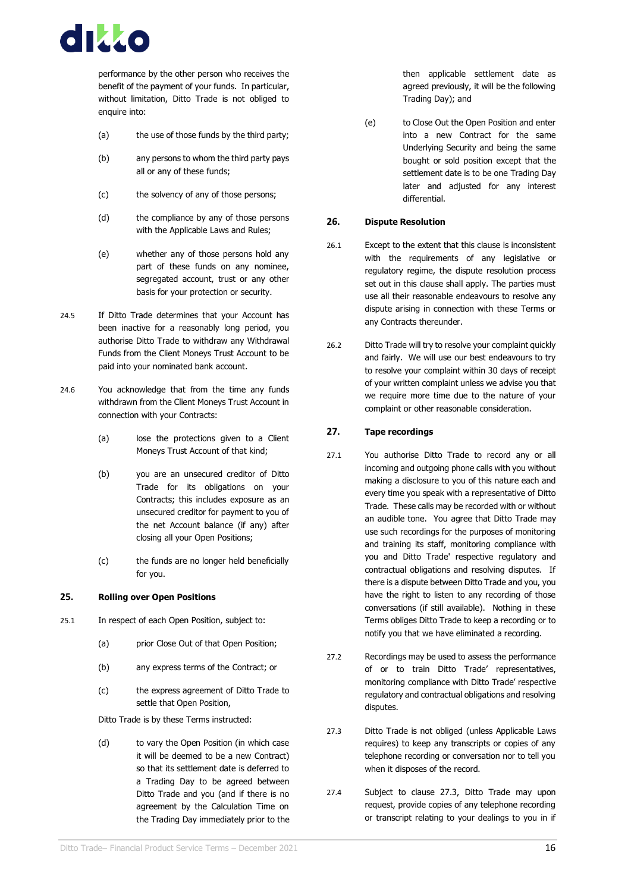

performance by the other person who receives the benefit of the payment of your funds. In particular, without limitation, Ditto Trade is not obliged to enquire into:

- (a) the use of those funds by the third party;
- (b) any persons to whom the third party pays all or any of these funds;
- (c) the solvency of any of those persons;
- (d) the compliance by any of those persons with the Applicable Laws and Rules;
- (e) whether any of those persons hold any part of these funds on any nominee, segregated account, trust or any other basis for your protection or security.
- 24.5 If Ditto Trade determines that your Account has been inactive for a reasonably long period, you authorise Ditto Trade to withdraw any Withdrawal Funds from the Client Moneys Trust Account to be paid into your nominated bank account.
- 24.6 You acknowledge that from the time any funds withdrawn from the Client Moneys Trust Account in connection with your Contracts:
	- (a) lose the protections given to a Client Moneys Trust Account of that kind;
	- (b) you are an unsecured creditor of Ditto Trade for its obligations on your Contracts; this includes exposure as an unsecured creditor for payment to you of the net Account balance (if any) after closing all your Open Positions;
	- (c) the funds are no longer held beneficially for you.

#### <span id="page-19-0"></span>**25. Rolling over Open Positions**

- 25.1 In respect of each Open Position, subject to:
	- (a) prior Close Out of that Open Position;
	- (b) any express terms of the Contract; or
	- (c) the express agreement of Ditto Trade to settle that Open Position,

Ditto Trade is by these Terms instructed:

(d) to vary the Open Position (in which case it will be deemed to be a new Contract) so that its settlement date is deferred to a Trading Day to be agreed between Ditto Trade and you (and if there is no agreement by the Calculation Time on the Trading Day immediately prior to the then applicable settlement date as agreed previously, it will be the following Trading Day); and

(e) to Close Out the Open Position and enter into a new Contract for the same Underlying Security and being the same bought or sold position except that the settlement date is to be one Trading Day later and adjusted for any interest differential.

#### <span id="page-19-1"></span>**26. Dispute Resolution**

- 26.1 Except to the extent that this clause is inconsistent with the requirements of any legislative or regulatory regime, the dispute resolution process set out in this clause shall apply. The parties must use all their reasonable endeavours to resolve any dispute arising in connection with these Terms or any Contracts thereunder.
- 26.2 Ditto Trade will try to resolve your complaint quickly and fairly. We will use our best endeavours to try to resolve your complaint within 30 days of receipt of your written complaint unless we advise you that we require more time due to the nature of your complaint or other reasonable consideration.

#### <span id="page-19-2"></span>**27. Tape recordings**

- 27.1 You authorise Ditto Trade to record any or all incoming and outgoing phone calls with you without making a disclosure to you of this nature each and every time you speak with a representative of Ditto Trade. These calls may be recorded with or without an audible tone. You agree that Ditto Trade may use such recordings for the purposes of monitoring and training its staff, monitoring compliance with you and Ditto Trade' respective regulatory and contractual obligations and resolving disputes. If there is a dispute between Ditto Trade and you, you have the right to listen to any recording of those conversations (if still available). Nothing in these Terms obliges Ditto Trade to keep a recording or to notify you that we have eliminated a recording.
- 27.2 Recordings may be used to assess the performance of or to train Ditto Trade' representatives, monitoring compliance with Ditto Trade' respective regulatory and contractual obligations and resolving disputes.
- <span id="page-19-3"></span>27.3 Ditto Trade is not obliged (unless Applicable Laws requires) to keep any transcripts or copies of any telephone recording or conversation nor to tell you when it disposes of the record.
- 27.4 Subject to clause [27.3,](#page-19-3) Ditto Trade may upon request, provide copies of any telephone recording or transcript relating to your dealings to you in if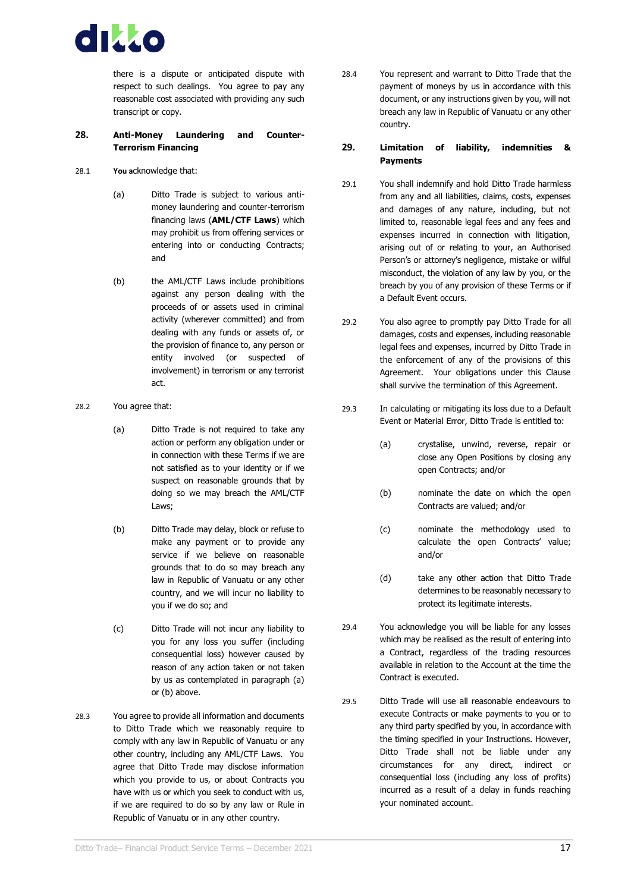

there is a dispute or anticipated dispute with respect to such dealings. You agree to pay any reasonable cost associated with providing any such transcript or copy.

#### <span id="page-20-0"></span>**28. Anti-Money Laundering and Counter-Terrorism Financing**

- 28.1 **You a**cknowledge that:
	- (a) Ditto Trade is subject to various antimoney laundering and counter-terrorism financing laws (**AML/CTF Laws**) which may prohibit us from offering services or entering into or conducting Contracts; and
	- (b) the AML/CTF Laws include prohibitions against any person dealing with the proceeds of or assets used in criminal activity (wherever committed) and from dealing with any funds or assets of, or the provision of finance to, any person or entity involved (or suspected of involvement) in terrorism or any terrorist act.
- 28.2 You agree that:
	- (a) Ditto Trade is not required to take any action or perform any obligation under or in connection with these Terms if we are not satisfied as to your identity or if we suspect on reasonable grounds that by doing so we may breach the AML/CTF Laws;
	- (b) Ditto Trade may delay, block or refuse to make any payment or to provide any service if we believe on reasonable grounds that to do so may breach any law in Republic of Vanuatu or any other country, and we will incur no liability to you if we do so; and
	- (c) Ditto Trade will not incur any liability to you for any loss you suffer (including consequential loss) however caused by reason of any action taken or not taken by us as contemplated in paragraph (a) or (b) above.
- 28.3 You agree to provide all information and documents to Ditto Trade which we reasonably require to comply with any law in Republic of Vanuatu or any other country, including any AML/CTF Laws. You agree that Ditto Trade may disclose information which you provide to us, or about Contracts you have with us or which you seek to conduct with us, if we are required to do so by any law or Rule in Republic of Vanuatu or in any other country.

28.4 You represent and warrant to Ditto Trade that the payment of moneys by us in accordance with this document, or any instructions given by you, will not breach any law in Republic of Vanuatu or any other country.

#### <span id="page-20-1"></span>**29. Limitation of liability, indemnities & Payments**

- 29.1 You shall indemnify and hold Ditto Trade harmless from any and all liabilities, claims, costs, expenses and damages of any nature, including, but not limited to, reasonable legal fees and any fees and expenses incurred in connection with litigation, arising out of or relating to your, an Authorised Person's or attorney's negligence, mistake or wilful misconduct, the violation of any law by you, or the breach by you of any provision of these Terms or if a Default Event occurs.
- 29.2 You also agree to promptly pay Ditto Trade for all damages, costs and expenses, including reasonable legal fees and expenses, incurred by Ditto Trade in the enforcement of any of the provisions of this Agreement. Your obligations under this Clause shall survive the termination of this Agreement.
- 29.3 In calculating or mitigating its loss due to a Default Event or Material Error, Ditto Trade is entitled to:
	- (a) crystalise, unwind, reverse, repair or close any Open Positions by closing any open Contracts; and/or
	- (b) nominate the date on which the open Contracts are valued; and/or
	- (c) nominate the methodology used to calculate the open Contracts' value; and/or
	- (d) take any other action that Ditto Trade determines to be reasonably necessary to protect its legitimate interests.
- 29.4 You acknowledge you will be liable for any losses which may be realised as the result of entering into a Contract, regardless of the trading resources available in relation to the Account at the time the Contract is executed.
- 29.5 Ditto Trade will use all reasonable endeavours to execute Contracts or make payments to you or to any third party specified by you, in accordance with the timing specified in your Instructions. However, Ditto Trade shall not be liable under any circumstances for any direct, indirect or consequential loss (including any loss of profits) incurred as a result of a delay in funds reaching your nominated account.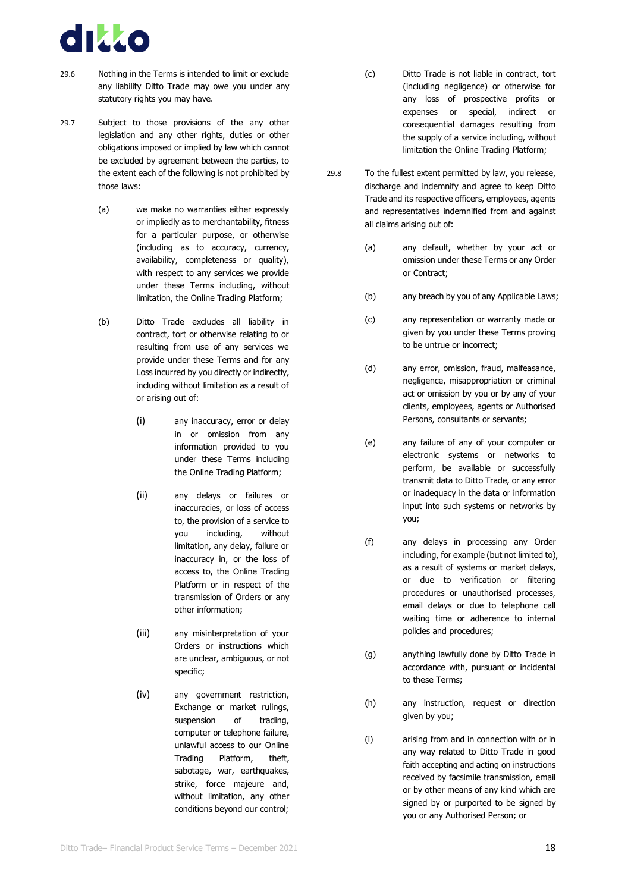

- 29.6 Nothing in the Terms is intended to limit or exclude any liability Ditto Trade may owe you under any statutory rights you may have.
- 29.7 Subject to those provisions of the any other legislation and any other rights, duties or other obligations imposed or implied by law which cannot be excluded by agreement between the parties, to the extent each of the following is not prohibited by those laws:
	- (a) we make no warranties either expressly or impliedly as to merchantability, fitness for a particular purpose, or otherwise (including as to accuracy, currency, availability, completeness or quality), with respect to any services we provide under these Terms including, without limitation, the Online Trading Platform;
	- (b) Ditto Trade excludes all liability in contract, tort or otherwise relating to or resulting from use of any services we provide under these Terms and for any Loss incurred by you directly or indirectly, including without limitation as a result of or arising out of:
		- (i) any inaccuracy, error or delay in or omission from any information provided to you under these Terms including the Online Trading Platform;
		- (ii) any delays or failures or inaccuracies, or loss of access to, the provision of a service to you including, without limitation, any delay, failure or inaccuracy in, or the loss of access to, the Online Trading Platform or in respect of the transmission of Orders or any other information;
		- (iii) any misinterpretation of your Orders or instructions which are unclear, ambiguous, or not specific;
		- (iv) any government restriction, Exchange or market rulings, suspension of trading, computer or telephone failure, unlawful access to our Online Trading Platform, theft, sabotage, war, earthquakes, strike, force majeure and, without limitation, any other conditions beyond our control;
- (c) Ditto Trade is not liable in contract, tort (including negligence) or otherwise for any loss of prospective profits or expenses or special, indirect or consequential damages resulting from the supply of a service including, without limitation the Online Trading Platform;
- 29.8 To the fullest extent permitted by law, you release, discharge and indemnify and agree to keep Ditto Trade and its respective officers, employees, agents and representatives indemnified from and against all claims arising out of:
	- (a) any default, whether by your act or omission under these Terms or any Order or Contract;
	- (b) any breach by you of any Applicable Laws;
	- (c) any representation or warranty made or given by you under these Terms proving to be untrue or incorrect;
	- (d) any error, omission, fraud, malfeasance, negligence, misappropriation or criminal act or omission by you or by any of your clients, employees, agents or Authorised Persons, consultants or servants;
	- (e) any failure of any of your computer or electronic systems or networks to perform, be available or successfully transmit data to Ditto Trade, or any error or inadequacy in the data or information input into such systems or networks by you;
	- (f) any delays in processing any Order including, for example (but not limited to), as a result of systems or market delays, or due to verification or filtering procedures or unauthorised processes, email delays or due to telephone call waiting time or adherence to internal policies and procedures;
	- (g) anything lawfully done by Ditto Trade in accordance with, pursuant or incidental to these Terms;
	- (h) any instruction, request or direction given by you;
	- (i) arising from and in connection with or in any way related to Ditto Trade in good faith accepting and acting on instructions received by facsimile transmission, email or by other means of any kind which are signed by or purported to be signed by you or any Authorised Person; or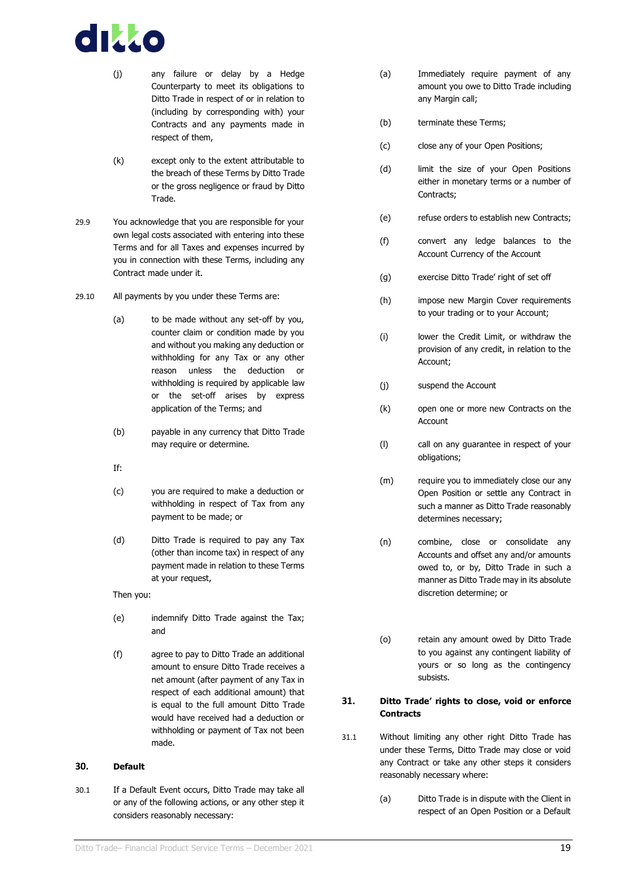

- (j) any failure or delay by a Hedge Counterparty to meet its obligations to Ditto Trade in respect of or in relation to (including by corresponding with) your Contracts and any payments made in respect of them,
- (k) except only to the extent attributable to the breach of these Terms by Ditto Trade or the gross negligence or fraud by Ditto Trade.
- 29.9 You acknowledge that you are responsible for your own legal costs associated with entering into these Terms and for all Taxes and expenses incurred by you in connection with these Terms, including any Contract made under it.
- 29.10 All payments by you under these Terms are:
	- (a) to be made without any set-off by you, counter claim or condition made by you and without you making any deduction or withholding for any Tax or any other reason unless the deduction or withholding is required by applicable law or the set-off arises by express application of the Terms; and
	- (b) payable in any currency that Ditto Trade may require or determine.
	- If:
	- (c) you are required to make a deduction or withholding in respect of Tax from any payment to be made; or
	- (d) Ditto Trade is required to pay any Tax (other than income tax) in respect of any payment made in relation to these Terms at your request,

Then you:

- (e) indemnify Ditto Trade against the Tax; and
- (f) agree to pay to Ditto Trade an additional amount to ensure Ditto Trade receives a net amount (after payment of any Tax in respect of each additional amount) that is equal to the full amount Ditto Trade would have received had a deduction or withholding or payment of Tax not been made.

#### <span id="page-22-0"></span>**30. Default**

30.1 If a Default Event occurs, Ditto Trade may take all or any of the following actions, or any other step it considers reasonably necessary:

- (a) Immediately require payment of any amount you owe to Ditto Trade including any Margin call;
- (b) terminate these Terms;
- (c) close any of your Open Positions;
- (d) limit the size of your Open Positions either in monetary terms or a number of Contracts;
- (e) refuse orders to establish new Contracts;
- (f) convert any ledge balances to the Account Currency of the Account
- (g) exercise Ditto Trade' right of set off
- (h) impose new Margin Cover requirements to your trading or to your Account;
- (i) lower the Credit Limit, or withdraw the provision of any credit, in relation to the Account;
- (j) suspend the Account
- (k) open one or more new Contracts on the Account
- (l) call on any guarantee in respect of your obligations;
- (m) require you to immediately close our any Open Position or settle any Contract in such a manner as Ditto Trade reasonably determines necessary;
- (n) combine, close or consolidate any Accounts and offset any and/or amounts owed to, or by, Ditto Trade in such a manner as Ditto Trade may in its absolute discretion determine; or
- (o) retain any amount owed by Ditto Trade to you against any contingent liability of yours or so long as the contingency subsists.

#### <span id="page-22-1"></span>**31. Ditto Trade' rights to close, void or enforce Contracts**

- <span id="page-22-2"></span>31.1 Without limiting any other right Ditto Trade has under these Terms, Ditto Trade may close or void any Contract or take any other steps it considers reasonably necessary where:
	- (a) Ditto Trade is in dispute with the Client in respect of an Open Position or a Default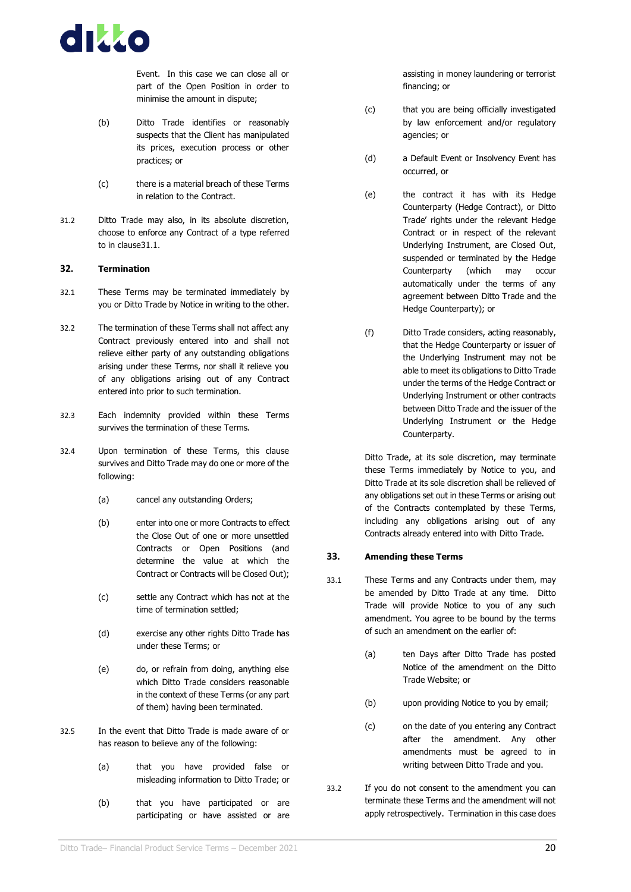

Event. In this case we can close all or part of the Open Position in order to minimise the amount in dispute;

- (b) Ditto Trade identifies or reasonably suspects that the Client has manipulated its prices, execution process or other practices; or
- (c) there is a material breach of these Terms in relation to the Contract.
- 31.2 Ditto Trade may also, in its absolute discretion, choose to enforce any Contract of a type referred to in claus[e31.1.](#page-22-2)

#### <span id="page-23-0"></span>**32. Termination**

- 32.1 These Terms may be terminated immediately by you or Ditto Trade by Notice in writing to the other.
- 32.2 The termination of these Terms shall not affect any Contract previously entered into and shall not relieve either party of any outstanding obligations arising under these Terms, nor shall it relieve you of any obligations arising out of any Contract entered into prior to such termination.
- 32.3 Each indemnity provided within these Terms survives the termination of these Terms.
- 32.4 Upon termination of these Terms, this clause survives and Ditto Trade may do one or more of the following:
	- (a) cancel any outstanding Orders;
	- (b) enter into one or more Contracts to effect the Close Out of one or more unsettled Contracts or Open Positions (and determine the value at which the Contract or Contracts will be Closed Out);
	- (c) settle any Contract which has not at the time of termination settled;
	- (d) exercise any other rights Ditto Trade has under these Terms; or
	- (e) do, or refrain from doing, anything else which Ditto Trade considers reasonable in the context of these Terms (or any part of them) having been terminated.
- 32.5 In the event that Ditto Trade is made aware of or has reason to believe any of the following:
	- (a) that you have provided false or misleading information to Ditto Trade; or
	- (b) that you have participated or are participating or have assisted or are

assisting in money laundering or terrorist financing; or

- (c) that you are being officially investigated by law enforcement and/or regulatory agencies; or
- (d) a Default Event or Insolvency Event has occurred, or
- (e) the contract it has with its Hedge Counterparty (Hedge Contract), or Ditto Trade' rights under the relevant Hedge Contract or in respect of the relevant Underlying Instrument, are Closed Out, suspended or terminated by the Hedge Counterparty (which may occur automatically under the terms of any agreement between Ditto Trade and the Hedge Counterparty); or
- (f) Ditto Trade considers, acting reasonably, that the Hedge Counterparty or issuer of the Underlying Instrument may not be able to meet its obligations to Ditto Trade under the terms of the Hedge Contract or Underlying Instrument or other contracts between Ditto Trade and the issuer of the Underlying Instrument or the Hedge Counterparty.

Ditto Trade, at its sole discretion, may terminate these Terms immediately by Notice to you, and Ditto Trade at its sole discretion shall be relieved of any obligations set out in these Terms or arising out of the Contracts contemplated by these Terms, including any obligations arising out of any Contracts already entered into with Ditto Trade.

#### **33. Amending these Terms**

- 33.1 These Terms and any Contracts under them, may be amended by Ditto Trade at any time. Ditto Trade will provide Notice to you of any such amendment. You agree to be bound by the terms of such an amendment on the earlier of:
	- (a) ten Days after Ditto Trade has posted Notice of the amendment on the Ditto Trade Website; or
	- (b) upon providing Notice to you by email;
	- (c) on the date of you entering any Contract after the amendment. Any other amendments must be agreed to in writing between Ditto Trade and you.
- 33.2 If you do not consent to the amendment you can terminate these Terms and the amendment will not apply retrospectively. Termination in this case does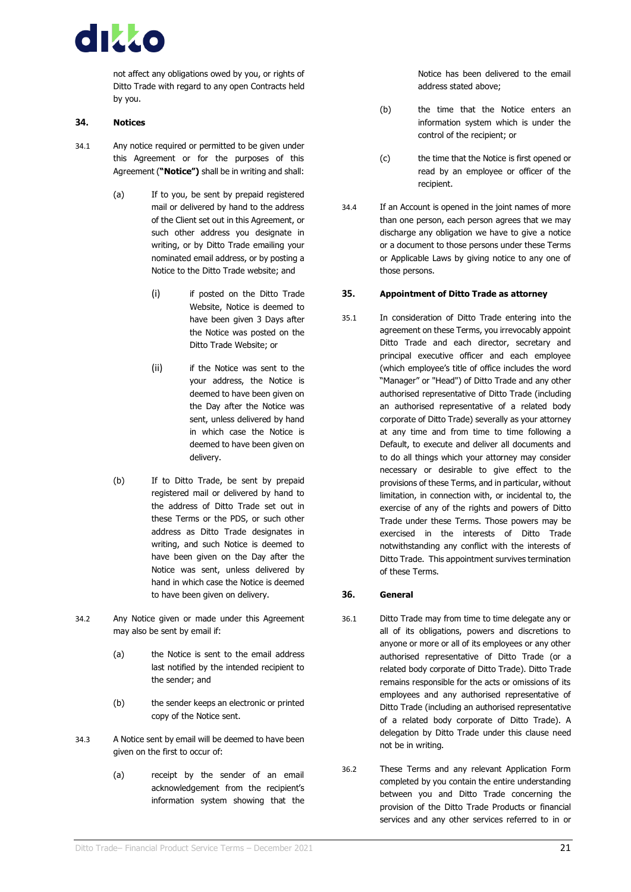

not affect any obligations owed by you, or rights of Ditto Trade with regard to any open Contracts held by you.

#### <span id="page-24-0"></span>**34. Notices**

- 34.1 Any notice required or permitted to be given under this Agreement or for the purposes of this Agreement (**"Notice")** shall be in writing and shall:
	- (a) If to you, be sent by prepaid registered mail or delivered by hand to the address of the Client set out in this Agreement, or such other address you designate in writing, or by Ditto Trade emailing your nominated email address, or by posting a Notice to the Ditto Trade website; and
		- (i) if posted on the Ditto Trade Website, Notice is deemed to have been given 3 Days after the Notice was posted on the Ditto Trade Website; or
		- (ii) if the Notice was sent to the your address, the Notice is deemed to have been given on the Day after the Notice was sent, unless delivered by hand in which case the Notice is deemed to have been given on delivery.
	- (b) If to Ditto Trade, be sent by prepaid registered mail or delivered by hand to the address of Ditto Trade set out in these Terms or the PDS, or such other address as Ditto Trade designates in writing, and such Notice is deemed to have been given on the Day after the Notice was sent, unless delivered by hand in which case the Notice is deemed to have been given on delivery.
- 34.2 Any Notice given or made under this Agreement may also be sent by email if:
	- (a) the Notice is sent to the email address last notified by the intended recipient to the sender; and
	- (b) the sender keeps an electronic or printed copy of the Notice sent.
- 34.3 A Notice sent by email will be deemed to have been given on the first to occur of:
	- (a) receipt by the sender of an email acknowledgement from the recipient's information system showing that the

Notice has been delivered to the email address stated above;

- (b) the time that the Notice enters an information system which is under the control of the recipient; or
- (c) the time that the Notice is first opened or read by an employee or officer of the recipient.
- 34.4 If an Account is opened in the joint names of more than one person, each person agrees that we may discharge any obligation we have to give a notice or a document to those persons under these Terms or Applicable Laws by giving notice to any one of those persons.

#### <span id="page-24-1"></span>**35. Appointment of Ditto Trade as attorney**

35.1 In consideration of Ditto Trade entering into the agreement on these Terms, you irrevocably appoint Ditto Trade and each director, secretary and principal executive officer and each employee (which employee's title of office includes the word "Manager" or "Head") of Ditto Trade and any other authorised representative of Ditto Trade (including an authorised representative of a related body corporate of Ditto Trade) severally as your attorney at any time and from time to time following a Default, to execute and deliver all documents and to do all things which your attorney may consider necessary or desirable to give effect to the provisions of these Terms, and in particular, without limitation, in connection with, or incidental to, the exercise of any of the rights and powers of Ditto Trade under these Terms. Those powers may be exercised in the interests of Ditto Trade notwithstanding any conflict with the interests of Ditto Trade. This appointment survives termination of these Terms.

#### <span id="page-24-2"></span>**36. General**

- 36.1 Ditto Trade may from time to time delegate any or all of its obligations, powers and discretions to anyone or more or all of its employees or any other authorised representative of Ditto Trade (or a related body corporate of Ditto Trade). Ditto Trade remains responsible for the acts or omissions of its employees and any authorised representative of Ditto Trade (including an authorised representative of a related body corporate of Ditto Trade). A delegation by Ditto Trade under this clause need not be in writing.
- 36.2 These Terms and any relevant Application Form completed by you contain the entire understanding between you and Ditto Trade concerning the provision of the Ditto Trade Products or financial services and any other services referred to in or